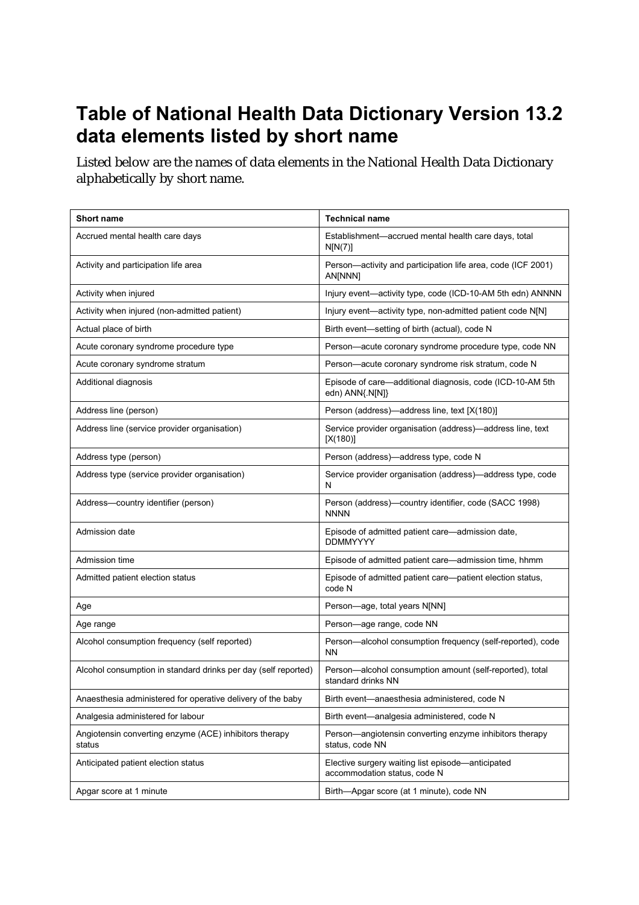## **Table of National Health Data Dictionary Version 13.2 data elements listed by short name**

Listed below are the names of data elements in the National Health Data Dictionary alphabetically by short name.

| <b>Short name</b>                                                | <b>Technical name</b>                                                             |
|------------------------------------------------------------------|-----------------------------------------------------------------------------------|
| Accrued mental health care days                                  | Establishment-accrued mental health care days, total<br>N[N(7)]                   |
| Activity and participation life area                             | Person-activity and participation life area, code (ICF 2001)<br>AN[NNN]           |
| Activity when injured                                            | Injury event-activity type, code (ICD-10-AM 5th edn) ANNNN                        |
| Activity when injured (non-admitted patient)                     | Injury event—activity type, non-admitted patient code N[N]                        |
| Actual place of birth                                            | Birth event-setting of birth (actual), code N                                     |
| Acute coronary syndrome procedure type                           | Person-acute coronary syndrome procedure type, code NN                            |
| Acute coronary syndrome stratum                                  | Person-acute coronary syndrome risk stratum, code N                               |
| Additional diagnosis                                             | Episode of care-additional diagnosis, code (ICD-10-AM 5th<br>edn) ANN{.N[N]}      |
| Address line (person)                                            | Person (address)-address line, text [X(180)]                                      |
| Address line (service provider organisation)                     | Service provider organisation (address)-address line, text<br>[X(180)]            |
| Address type (person)                                            | Person (address)-address type, code N                                             |
| Address type (service provider organisation)                     | Service provider organisation (address)-address type, code<br>N                   |
| Address-country identifier (person)                              | Person (address)—country identifier, code (SACC 1998)<br><b>NNNN</b>              |
| Admission date                                                   | Episode of admitted patient care—admission date,<br><b>DDMMYYYY</b>               |
| Admission time                                                   | Episode of admitted patient care—admission time, hhmm                             |
| Admitted patient election status                                 | Episode of admitted patient care-patient election status,<br>code N               |
| Age                                                              | Person-age, total years N[NN]                                                     |
| Age range                                                        | Person-age range, code NN                                                         |
| Alcohol consumption frequency (self reported)                    | Person-alcohol consumption frequency (self-reported), code<br><b>NN</b>           |
| Alcohol consumption in standard drinks per day (self reported)   | Person-alcohol consumption amount (self-reported), total<br>standard drinks NN    |
| Anaesthesia administered for operative delivery of the baby      | Birth event-anaesthesia administered, code N                                      |
| Analgesia administered for labour                                | Birth event-analgesia administered, code N                                        |
| Angiotensin converting enzyme (ACE) inhibitors therapy<br>status | Person—angiotensin converting enzyme inhibitors therapy<br>status, code NN        |
| Anticipated patient election status                              | Elective surgery waiting list episode—anticipated<br>accommodation status, code N |
| Apgar score at 1 minute                                          | Birth-Apgar score (at 1 minute), code NN                                          |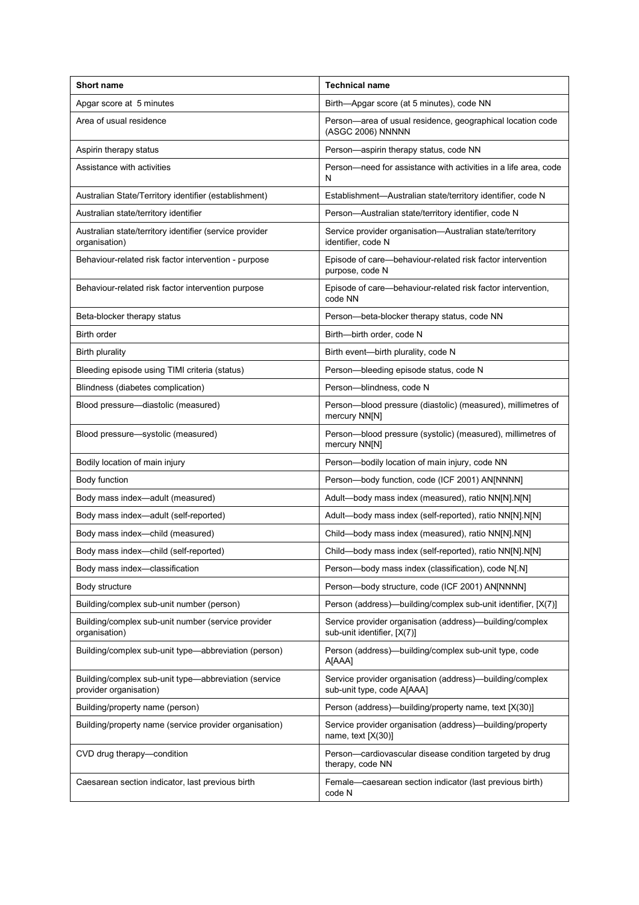| <b>Short name</b>                                                              | <b>Technical name</b>                                                                   |
|--------------------------------------------------------------------------------|-----------------------------------------------------------------------------------------|
| Apgar score at 5 minutes                                                       | Birth-Apgar score (at 5 minutes), code NN                                               |
| Area of usual residence                                                        | Person-area of usual residence, geographical location code<br>(ASGC 2006) NNNNN         |
| Aspirin therapy status                                                         | Person-aspirin therapy status, code NN                                                  |
| Assistance with activities                                                     | Person-need for assistance with activities in a life area, code<br>N                    |
| Australian State/Territory identifier (establishment)                          | Establishment-Australian state/territory identifier, code N                             |
| Australian state/territory identifier                                          | Person-Australian state/territory identifier, code N                                    |
| Australian state/territory identifier (service provider<br>organisation)       | Service provider organisation-Australian state/territory<br>identifier, code N          |
| Behaviour-related risk factor intervention - purpose                           | Episode of care—behaviour-related risk factor intervention<br>purpose, code N           |
| Behaviour-related risk factor intervention purpose                             | Episode of care-behaviour-related risk factor intervention,<br>code NN                  |
| Beta-blocker therapy status                                                    | Person-beta-blocker therapy status, code NN                                             |
| Birth order                                                                    | Birth-birth order, code N                                                               |
| <b>Birth plurality</b>                                                         | Birth event-birth plurality, code N                                                     |
| Bleeding episode using TIMI criteria (status)                                  | Person-bleeding episode status, code N                                                  |
| Blindness (diabetes complication)                                              | Person-blindness, code N                                                                |
| Blood pressure-diastolic (measured)                                            | Person-blood pressure (diastolic) (measured), millimetres of<br>mercury NN[N]           |
| Blood pressure-systolic (measured)                                             | Person-blood pressure (systolic) (measured), millimetres of<br>mercury NN[N]            |
| Bodily location of main injury                                                 | Person-bodily location of main injury, code NN                                          |
| Body function                                                                  | Person-body function, code (ICF 2001) AN[NNNN]                                          |
| Body mass index-adult (measured)                                               | Adult-body mass index (measured), ratio NN[N].N[N]                                      |
| Body mass index-adult (self-reported)                                          | Adult-body mass index (self-reported), ratio NN[N].N[N]                                 |
| Body mass index-child (measured)                                               | Child-body mass index (measured), ratio NN[N].N[N]                                      |
| Body mass index-child (self-reported)                                          | Child-body mass index (self-reported), ratio NN[N].N[N]                                 |
| Body mass index-classification                                                 | Person-body mass index (classification), code N[.N]                                     |
| Body structure                                                                 | Person-body structure, code (ICF 2001) AN[NNNN]                                         |
| Building/complex sub-unit number (person)                                      | Person (address)—building/complex sub-unit identifier, [X(7)]                           |
| Building/complex sub-unit number (service provider<br>organisation)            | Service provider organisation (address)-building/complex<br>sub-unit identifier, [X(7)] |
| Building/complex sub-unit type-abbreviation (person)                           | Person (address)—building/complex sub-unit type, code<br>A[AAA]                         |
| Building/complex sub-unit type-abbreviation (service<br>provider organisation) | Service provider organisation (address)—building/complex<br>sub-unit type, code A[AAA]  |
| Building/property name (person)                                                | Person (address)—building/property name, text [X(30)]                                   |
| Building/property name (service provider organisation)                         | Service provider organisation (address)-building/property<br>name, text $[X(30)]$       |
| CVD drug therapy—condition                                                     | Person-cardiovascular disease condition targeted by drug<br>therapy, code NN            |
| Caesarean section indicator, last previous birth                               | Female-caesarean section indicator (last previous birth)<br>code N                      |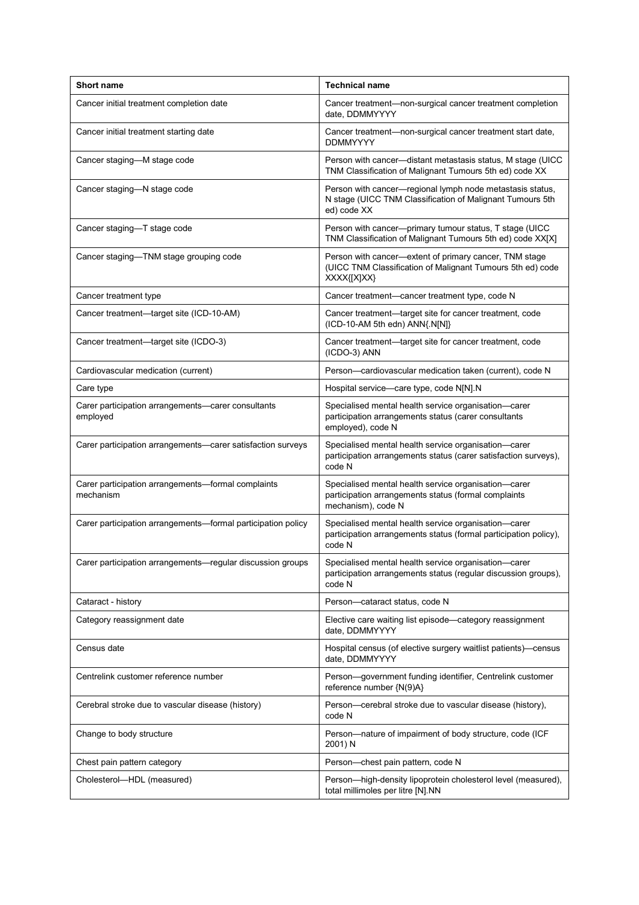| <b>Short name</b>                                               | <b>Technical name</b>                                                                                                                 |
|-----------------------------------------------------------------|---------------------------------------------------------------------------------------------------------------------------------------|
| Cancer initial treatment completion date                        | Cancer treatment-non-surgical cancer treatment completion<br>date. DDMMYYYY                                                           |
| Cancer initial treatment starting date                          | Cancer treatment-non-surgical cancer treatment start date,<br><b>DDMMYYYY</b>                                                         |
| Cancer staging-M stage code                                     | Person with cancer—distant metastasis status, M stage (UICC)<br>TNM Classification of Malignant Tumours 5th ed) code XX               |
| Cancer staging-N stage code                                     | Person with cancer-regional lymph node metastasis status,<br>N stage (UICC TNM Classification of Malignant Tumours 5th<br>ed) code XX |
| Cancer staging-T stage code                                     | Person with cancer---primary tumour status, T stage (UICC<br>TNM Classification of Malignant Tumours 5th ed) code XX[X]               |
| Cancer staging-TNM stage grouping code                          | Person with cancer-extent of primary cancer, TNM stage<br>(UICC TNM Classification of Malignant Tumours 5th ed) code<br>XXXX{[X]XX}   |
| Cancer treatment type                                           | Cancer treatment—cancer treatment type, code N                                                                                        |
| Cancer treatment-target site (ICD-10-AM)                        | Cancer treatment—target site for cancer treatment, code<br>(ICD-10-AM 5th edn) ANN{.N[N]}                                             |
| Cancer treatment-target site (ICDO-3)                           | Cancer treatment—target site for cancer treatment, code<br>(ICDO-3) ANN                                                               |
| Cardiovascular medication (current)                             | Person-cardiovascular medication taken (current), code N                                                                              |
| Care type                                                       | Hospital service-care type, code N[N].N                                                                                               |
| Carer participation arrangements-carer consultants<br>employed  | Specialised mental health service organisation-carer<br>participation arrangements status (carer consultants<br>employed), code N     |
| Carer participation arrangements-carer satisfaction surveys     | Specialised mental health service organisation-carer<br>participation arrangements status (carer satisfaction surveys),<br>code N     |
| Carer participation arrangements-formal complaints<br>mechanism | Specialised mental health service organisation-carer<br>participation arrangements status (formal complaints<br>mechanism), code N    |
| Carer participation arrangements—formal participation policy    | Specialised mental health service organisation-carer<br>participation arrangements status (formal participation policy),<br>code N    |
| Carer participation arrangements-regular discussion groups      | Specialised mental health service organisation-carer<br>participation arrangements status (regular discussion groups),<br>code N      |
| Cataract - history                                              | Person-cataract status, code N                                                                                                        |
| Category reassignment date                                      | Elective care waiting list episode—category reassignment<br>date, DDMMYYYY                                                            |
| Census date                                                     | Hospital census (of elective surgery waitlist patients)-census<br>date, DDMMYYYY                                                      |
| Centrelink customer reference number                            | Person-government funding identifier, Centrelink customer<br>reference number {N(9)A}                                                 |
| Cerebral stroke due to vascular disease (history)               | Person—cerebral stroke due to vascular disease (history),<br>code N                                                                   |
| Change to body structure                                        | Person-nature of impairment of body structure, code (ICF<br>2001) N                                                                   |
| Chest pain pattern category                                     | Person-chest pain pattern, code N                                                                                                     |
| Cholesterol-HDL (measured)                                      | Person-high-density lipoprotein cholesterol level (measured),<br>total millimoles per litre [N].NN                                    |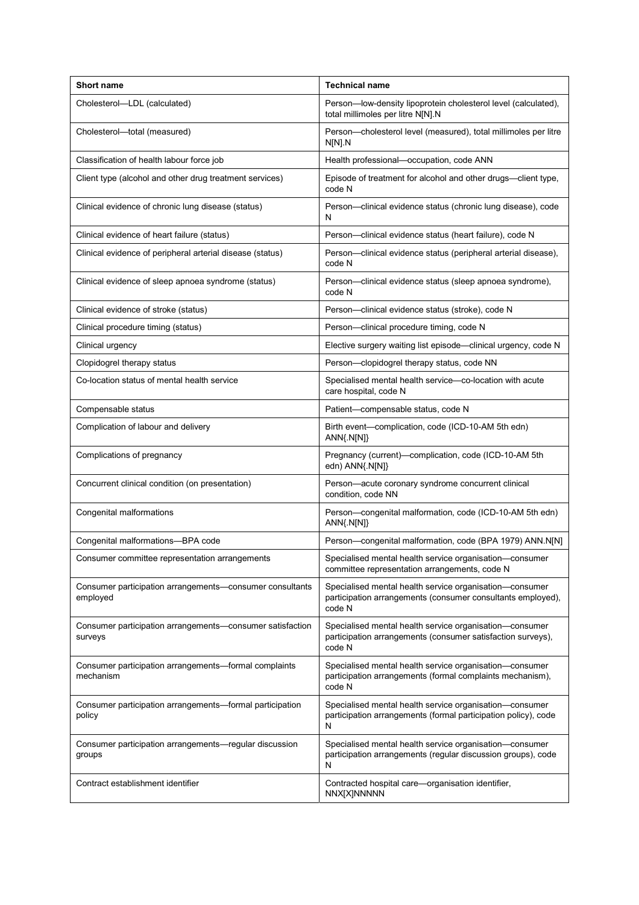| <b>Short name</b>                                                    | <b>Technical name</b>                                                                                                            |
|----------------------------------------------------------------------|----------------------------------------------------------------------------------------------------------------------------------|
| Cholesterol-LDL (calculated)                                         | Person-low-density lipoprotein cholesterol level (calculated),<br>total millimoles per litre N[N].N                              |
| Cholesterol-total (measured)                                         | Person-cholesterol level (measured), total millimoles per litre<br>N[N] N                                                        |
| Classification of health labour force job                            | Health professional-occupation, code ANN                                                                                         |
| Client type (alcohol and other drug treatment services)              | Episode of treatment for alcohol and other drugs-client type,<br>code N                                                          |
| Clinical evidence of chronic lung disease (status)                   | Person-clinical evidence status (chronic lung disease), code<br>N                                                                |
| Clinical evidence of heart failure (status)                          | Person---clinical evidence status (heart failure), code N                                                                        |
| Clinical evidence of peripheral arterial disease (status)            | Person—clinical evidence status (peripheral arterial disease),<br>code N                                                         |
| Clinical evidence of sleep apnoea syndrome (status)                  | Person—clinical evidence status (sleep apnoea syndrome),<br>code N                                                               |
| Clinical evidence of stroke (status)                                 | Person-clinical evidence status (stroke), code N                                                                                 |
| Clinical procedure timing (status)                                   | Person-clinical procedure timing, code N                                                                                         |
| Clinical urgency                                                     | Elective surgery waiting list episode-clinical urgency, code N                                                                   |
| Clopidogrel therapy status                                           | Person-clopidogrel therapy status, code NN                                                                                       |
| Co-location status of mental health service                          | Specialised mental health service—co-location with acute<br>care hospital, code N                                                |
| Compensable status                                                   | Patient-compensable status, code N                                                                                               |
| Complication of labour and delivery                                  | Birth event—complication, code (ICD-10-AM 5th edn)<br>$ANN{N[N]}$                                                                |
| Complications of pregnancy                                           | Pregnancy (current)-complication, code (ICD-10-AM 5th<br>edn) ANN{.N[N]}                                                         |
| Concurrent clinical condition (on presentation)                      | Person-acute coronary syndrome concurrent clinical<br>condition, code NN                                                         |
| Congenital malformations                                             | Person-congenital malformation, code (ICD-10-AM 5th edn)<br>$ANN{N[N]}$                                                          |
| Congenital malformations-BPA code                                    | Person-congenital malformation, code (BPA 1979) ANN.N[N]                                                                         |
| Consumer committee representation arrangements                       | Specialised mental health service organisation-consumer<br>committee representation arrangements, code N                         |
| Consumer participation arrangements—consumer consultants<br>employed | Specialised mental health service organisation-consumer<br>participation arrangements (consumer consultants employed),<br>code N |
| Consumer participation arrangements-consumer satisfaction<br>surveys | Specialised mental health service organisation-consumer<br>participation arrangements (consumer satisfaction surveys),<br>code N |
| Consumer participation arrangements—formal complaints<br>mechanism   | Specialised mental health service organisation-consumer<br>participation arrangements (formal complaints mechanism),<br>code N   |
| Consumer participation arrangements—formal participation<br>policy   | Specialised mental health service organisation-consumer<br>participation arrangements (formal participation policy), code<br>N   |
| Consumer participation arrangements—regular discussion<br>groups     | Specialised mental health service organisation-consumer<br>participation arrangements (regular discussion groups), code<br>N     |
| Contract establishment identifier                                    | Contracted hospital care-organisation identifier,<br>NNX[X]NNNNN                                                                 |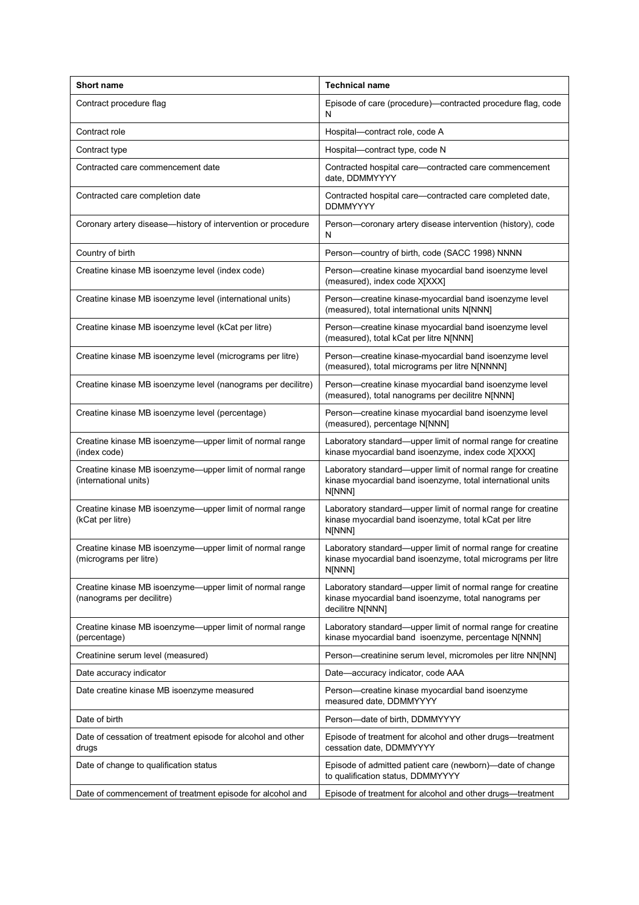| <b>Short name</b>                                                                     | <b>Technical name</b>                                                                                                                     |
|---------------------------------------------------------------------------------------|-------------------------------------------------------------------------------------------------------------------------------------------|
| Contract procedure flag                                                               | Episode of care (procedure)-contracted procedure flag, code<br>N                                                                          |
| Contract role                                                                         | Hospital-contract role, code A                                                                                                            |
| Contract type                                                                         | Hospital-contract type, code N                                                                                                            |
| Contracted care commencement date                                                     | Contracted hospital care-contracted care commencement<br>date, DDMMYYYY                                                                   |
| Contracted care completion date                                                       | Contracted hospital care—contracted care completed date,<br><b>DDMMYYYY</b>                                                               |
| Coronary artery disease-history of intervention or procedure                          | Person-coronary artery disease intervention (history), code<br>Ν                                                                          |
| Country of birth                                                                      | Person-country of birth, code (SACC 1998) NNNN                                                                                            |
| Creatine kinase MB isoenzyme level (index code)                                       | Person-creatine kinase myocardial band isoenzyme level<br>(measured), index code X[XXX]                                                   |
| Creatine kinase MB isoenzyme level (international units)                              | Person-creatine kinase-myocardial band isoenzyme level<br>(measured), total international units N[NNN]                                    |
| Creatine kinase MB isoenzyme level (kCat per litre)                                   | Person-creatine kinase myocardial band isoenzyme level<br>(measured), total kCat per litre N[NNN]                                         |
| Creatine kinase MB isoenzyme level (micrograms per litre)                             | Person-creatine kinase-myocardial band isoenzyme level<br>(measured), total micrograms per litre N[NNNN]                                  |
| Creatine kinase MB isoenzyme level (nanograms per decilitre)                          | Person-creatine kinase myocardial band isoenzyme level<br>(measured), total nanograms per decilitre N[NNN]                                |
| Creatine kinase MB isoenzyme level (percentage)                                       | Person-creatine kinase myocardial band isoenzyme level<br>(measured), percentage N[NNN]                                                   |
| Creatine kinase MB isoenzyme—upper limit of normal range<br>(index code)              | Laboratory standard-upper limit of normal range for creatine<br>kinase myocardial band isoenzyme, index code X[XXX]                       |
| Creatine kinase MB isoenzyme—upper limit of normal range<br>(international units)     | Laboratory standard—upper limit of normal range for creatine<br>kinase myocardial band isoenzyme, total international units<br>N[NNN]     |
| Creatine kinase MB isoenzyme—upper limit of normal range<br>(kCat per litre)          | Laboratory standard-upper limit of normal range for creatine<br>kinase myocardial band isoenzyme, total kCat per litre<br>N[NNN]          |
| Creatine kinase MB isoenzyme-upper limit of normal range<br>(micrograms per litre)    | Laboratory standard-upper limit of normal range for creatine<br>kinase myocardial band isoenzyme, total micrograms per litre<br>N[NNN]    |
| Creatine kinase MB isoenzyme—upper limit of normal range<br>(nanograms per decilitre) | Laboratory standard-upper limit of normal range for creatine<br>kinase myocardial band isoenzyme, total nanograms per<br>decilitre N[NNN] |
| Creatine kinase MB isoenzyme—upper limit of normal range<br>(percentage)              | Laboratory standard—upper limit of normal range for creatine<br>kinase myocardial band isoenzyme, percentage N[NNN]                       |
| Creatinine serum level (measured)                                                     | Person-creatinine serum level, micromoles per litre NN[NN]                                                                                |
| Date accuracy indicator                                                               | Date-accuracy indicator, code AAA                                                                                                         |
| Date creatine kinase MB isoenzyme measured                                            | Person-creatine kinase myocardial band isoenzyme<br>measured date, DDMMYYYY                                                               |
| Date of birth                                                                         | Person-date of birth, DDMMYYYY                                                                                                            |
| Date of cessation of treatment episode for alcohol and other<br>drugs                 | Episode of treatment for alcohol and other drugs—treatment<br>cessation date, DDMMYYYY                                                    |
| Date of change to qualification status                                                | Episode of admitted patient care (newborn)—date of change<br>to qualification status, DDMMYYYY                                            |
| Date of commencement of treatment episode for alcohol and                             | Episode of treatment for alcohol and other drugs—treatment                                                                                |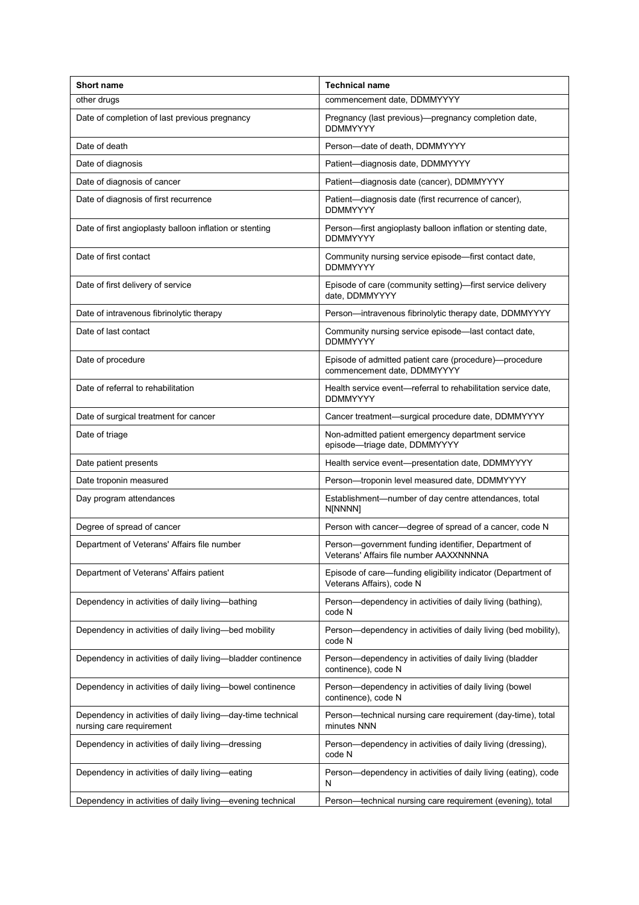| <b>Short name</b>                                                                       | <b>Technical name</b>                                                                          |
|-----------------------------------------------------------------------------------------|------------------------------------------------------------------------------------------------|
| other drugs                                                                             | commencement date, DDMMYYYY                                                                    |
| Date of completion of last previous pregnancy                                           | Pregnancy (last previous)—pregnancy completion date,<br><b>DDMMYYYY</b>                        |
| Date of death                                                                           | Person-date of death, DDMMYYYY                                                                 |
| Date of diagnosis                                                                       | Patient-diagnosis date, DDMMYYYY                                                               |
| Date of diagnosis of cancer                                                             | Patient-diagnosis date (cancer), DDMMYYYY                                                      |
| Date of diagnosis of first recurrence                                                   | Patient-diagnosis date (first recurrence of cancer),<br><b>DDMMYYYY</b>                        |
| Date of first angioplasty balloon inflation or stenting                                 | Person—first angioplasty balloon inflation or stenting date,<br><b>DDMMYYYY</b>                |
| Date of first contact                                                                   | Community nursing service episode—first contact date,<br><b>DDMMYYYY</b>                       |
| Date of first delivery of service                                                       | Episode of care (community setting)—first service delivery<br>date, DDMMYYYY                   |
| Date of intravenous fibrinolytic therapy                                                | Person-intravenous fibrinolytic therapy date, DDMMYYYY                                         |
| Date of last contact                                                                    | Community nursing service episode-last contact date,<br><b>DDMMYYYY</b>                        |
| Date of procedure                                                                       | Episode of admitted patient care (procedure)-procedure<br>commencement date, DDMMYYYY          |
| Date of referral to rehabilitation                                                      | Health service event—referral to rehabilitation service date,<br><b>DDMMYYYY</b>               |
| Date of surgical treatment for cancer                                                   | Cancer treatment-surgical procedure date, DDMMYYYY                                             |
| Date of triage                                                                          | Non-admitted patient emergency department service<br>episode-triage date, DDMMYYYY             |
| Date patient presents                                                                   | Health service event-presentation date, DDMMYYYY                                               |
| Date troponin measured                                                                  | Person-troponin level measured date, DDMMYYYY                                                  |
| Day program attendances                                                                 | Establishment—number of day centre attendances, total<br>N[NNNN]                               |
| Degree of spread of cancer                                                              | Person with cancer-degree of spread of a cancer, code N                                        |
| Department of Veterans' Affairs file number                                             | Person-government funding identifier, Department of<br>Veterans' Affairs file number AAXXNNNNA |
| Department of Veterans' Affairs patient                                                 | Episode of care-funding eligibility indicator (Department of<br>Veterans Affairs), code N      |
| Dependency in activities of daily living-bathing                                        | Person-dependency in activities of daily living (bathing),<br>code N                           |
| Dependency in activities of daily living-bed mobility                                   | Person-dependency in activities of daily living (bed mobility),<br>code N                      |
| Dependency in activities of daily living-bladder continence                             | Person-dependency in activities of daily living (bladder<br>continence), code N                |
| Dependency in activities of daily living-bowel continence                               | Person-dependency in activities of daily living (bowel<br>continence), code N                  |
| Dependency in activities of daily living-day-time technical<br>nursing care requirement | Person—technical nursing care requirement (day-time), total<br>minutes NNN                     |
| Dependency in activities of daily living-dressing                                       | Person—dependency in activities of daily living (dressing),<br>code N                          |
| Dependency in activities of daily living-eating                                         | Person-dependency in activities of daily living (eating), code<br>N                            |
| Dependency in activities of daily living—evening technical                              | Person—technical nursing care requirement (evening), total                                     |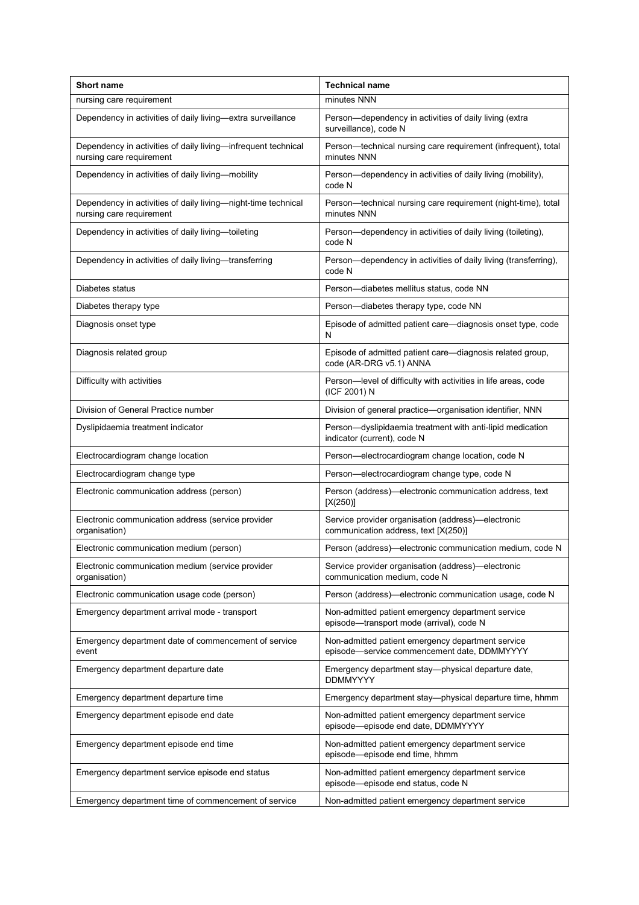| <b>Short name</b>                                                                         | <b>Technical name</b>                                                                            |
|-------------------------------------------------------------------------------------------|--------------------------------------------------------------------------------------------------|
| nursing care requirement                                                                  | minutes NNN                                                                                      |
| Dependency in activities of daily living-extra surveillance                               | Person-dependency in activities of daily living (extra<br>surveillance), code N                  |
| Dependency in activities of daily living-infrequent technical<br>nursing care requirement | Person-technical nursing care requirement (infrequent), total<br>minutes NNN                     |
| Dependency in activities of daily living-mobility                                         | Person-dependency in activities of daily living (mobility),<br>code N                            |
| Dependency in activities of daily living-night-time technical<br>nursing care requirement | Person—technical nursing care requirement (night-time), total<br>minutes NNN                     |
| Dependency in activities of daily living-toileting                                        | Person—dependency in activities of daily living (toileting),<br>code N                           |
| Dependency in activities of daily living—transferring                                     | Person-dependency in activities of daily living (transferring),<br>code N                        |
| Diabetes status                                                                           | Person-diabetes mellitus status, code NN                                                         |
| Diabetes therapy type                                                                     | Person-diabetes therapy type, code NN                                                            |
| Diagnosis onset type                                                                      | Episode of admitted patient care—diagnosis onset type, code<br>N                                 |
| Diagnosis related group                                                                   | Episode of admitted patient care-diagnosis related group,<br>code (AR-DRG v5.1) ANNA             |
| Difficulty with activities                                                                | Person-level of difficulty with activities in life areas, code<br>(ICF 2001) N                   |
| Division of General Practice number                                                       | Division of general practice-organisation identifier, NNN                                        |
| Dyslipidaemia treatment indicator                                                         | Person-dyslipidaemia treatment with anti-lipid medication<br>indicator (current), code N         |
| Electrocardiogram change location                                                         | Person-electrocardiogram change location, code N                                                 |
| Electrocardiogram change type                                                             | Person-electrocardiogram change type, code N                                                     |
| Electronic communication address (person)                                                 | Person (address)—electronic communication address, text<br>[X(250)]                              |
| Electronic communication address (service provider<br>organisation)                       | Service provider organisation (address)-electronic<br>communication address, text [X(250)]       |
| Electronic communication medium (person)                                                  | Person (address)—electronic communication medium, code N                                         |
| Electronic communication medium (service provider<br>organisation)                        | Service provider organisation (address)-electronic<br>communication medium, code N               |
| Electronic communication usage code (person)                                              | Person (address)—electronic communication usage, code N                                          |
| Emergency department arrival mode - transport                                             | Non-admitted patient emergency department service<br>episode-transport mode (arrival), code N    |
| Emergency department date of commencement of service<br>event                             | Non-admitted patient emergency department service<br>episode-service commencement date, DDMMYYYY |
| Emergency department departure date                                                       | Emergency department stay—physical departure date,<br><b>DDMMYYYY</b>                            |
| Emergency department departure time                                                       | Emergency department stay-physical departure time, hhmm                                          |
| Emergency department episode end date                                                     | Non-admitted patient emergency department service<br>episode-episode end date, DDMMYYYY          |
| Emergency department episode end time                                                     | Non-admitted patient emergency department service<br>episode-episode end time, hhmm              |
| Emergency department service episode end status                                           | Non-admitted patient emergency department service<br>episode-episode end status, code N          |
| Emergency department time of commencement of service                                      | Non-admitted patient emergency department service                                                |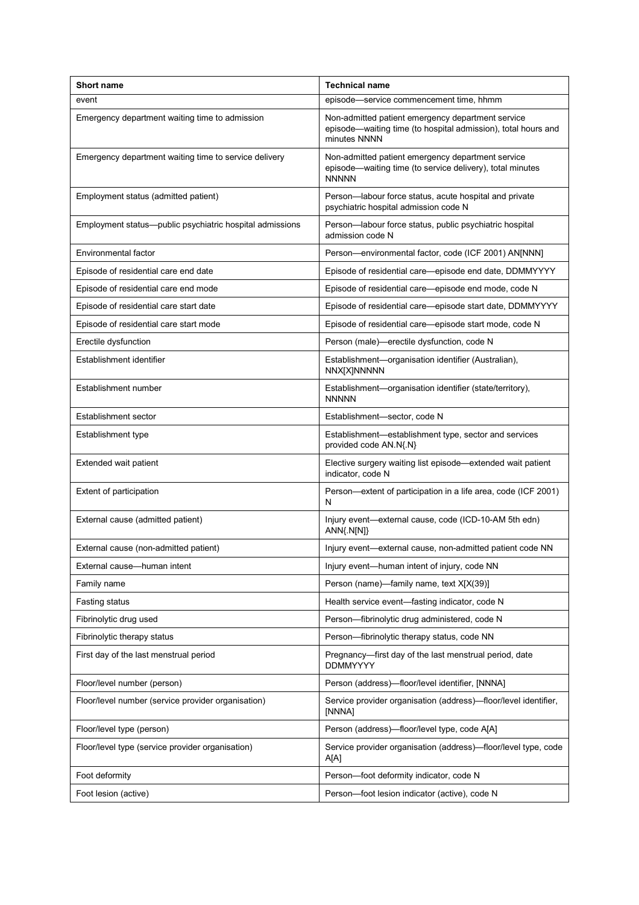| <b>Short name</b>                                        | <b>Technical name</b>                                                                                                              |
|----------------------------------------------------------|------------------------------------------------------------------------------------------------------------------------------------|
| event                                                    | episode-service commencement time, hhmm                                                                                            |
| Emergency department waiting time to admission           | Non-admitted patient emergency department service<br>episode—waiting time (to hospital admission), total hours and<br>minutes NNNN |
| Emergency department waiting time to service delivery    | Non-admitted patient emergency department service<br>episode-waiting time (to service delivery), total minutes<br><b>NNNNN</b>     |
| Employment status (admitted patient)                     | Person-labour force status, acute hospital and private<br>psychiatric hospital admission code N                                    |
| Employment status—public psychiatric hospital admissions | Person-labour force status, public psychiatric hospital<br>admission code N                                                        |
| Environmental factor                                     | Person-environmental factor, code (ICF 2001) AN[NNN]                                                                               |
| Episode of residential care end date                     | Episode of residential care-episode end date, DDMMYYYY                                                                             |
| Episode of residential care end mode                     | Episode of residential care-episode end mode, code N                                                                               |
| Episode of residential care start date                   | Episode of residential care-episode start date, DDMMYYYY                                                                           |
| Episode of residential care start mode                   | Episode of residential care—episode start mode, code N                                                                             |
| Erectile dysfunction                                     | Person (male)-erectile dysfunction, code N                                                                                         |
| Establishment identifier                                 | Establishment-organisation identifier (Australian),<br><b>NNX[X]NNNNN</b>                                                          |
| Establishment number                                     | Establishment-organisation identifier (state/territory),<br><b>NNNNN</b>                                                           |
| Establishment sector                                     | Establishment-sector, code N                                                                                                       |
| Establishment type                                       | Establishment—establishment type, sector and services<br>provided code AN.N{.N}                                                    |
| Extended wait patient                                    | Elective surgery waiting list episode-extended wait patient<br>indicator, code N                                                   |
| Extent of participation                                  | Person—extent of participation in a life area, code (ICF 2001)<br>N                                                                |
| External cause (admitted patient)                        | Injury event-external cause, code (ICD-10-AM 5th edn)<br>ANN{.N[N]}                                                                |
| External cause (non-admitted patient)                    | Injury event-external cause, non-admitted patient code NN                                                                          |
| External cause-human intent                              | Injury event-human intent of injury, code NN                                                                                       |
| Family name                                              | Person (name)-family name, text X[X(39)]                                                                                           |
| Fasting status                                           | Health service event-fasting indicator, code N                                                                                     |
| Fibrinolytic drug used                                   | Person-fibrinolytic drug administered, code N                                                                                      |
| Fibrinolytic therapy status                              | Person-fibrinolytic therapy status, code NN                                                                                        |
| First day of the last menstrual period                   | Pregnancy-first day of the last menstrual period, date<br><b>DDMMYYYY</b>                                                          |
| Floor/level number (person)                              | Person (address)-floor/level identifier, [NNNA]                                                                                    |
| Floor/level number (service provider organisation)       | Service provider organisation (address)-floor/level identifier,<br>[NNNA]                                                          |
| Floor/level type (person)                                | Person (address)—floor/level type, code A[A]                                                                                       |
| Floor/level type (service provider organisation)         | Service provider organisation (address)-floor/level type, code<br>A[A]                                                             |
| Foot deformity                                           | Person-foot deformity indicator, code N                                                                                            |
| Foot lesion (active)                                     | Person-foot lesion indicator (active), code N                                                                                      |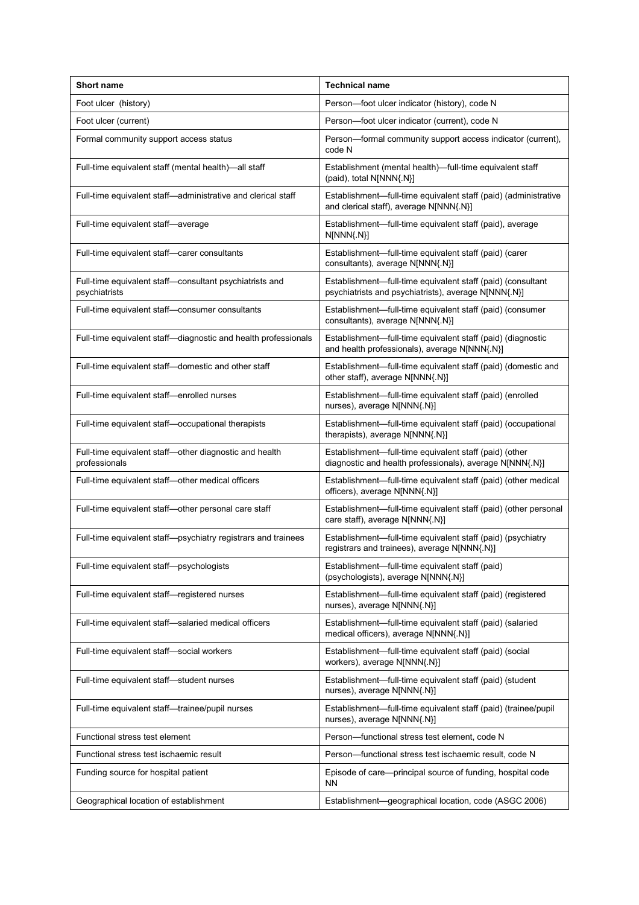| <b>Short name</b>                                                        | <b>Technical name</b>                                                                                               |
|--------------------------------------------------------------------------|---------------------------------------------------------------------------------------------------------------------|
| Foot ulcer (history)                                                     | Person-foot ulcer indicator (history), code N                                                                       |
| Foot ulcer (current)                                                     | Person-foot ulcer indicator (current), code N                                                                       |
| Formal community support access status                                   | Person-formal community support access indicator (current),<br>code N                                               |
| Full-time equivalent staff (mental health)-all staff                     | Establishment (mental health)-full-time equivalent staff<br>(paid), total N[NNN{.N}]                                |
| Full-time equivalent staff-administrative and clerical staff             | Establishment-full-time equivalent staff (paid) (administrative<br>and clerical staff), average N[NNN{.N}]          |
| Full-time equivalent staff-average                                       | Establishment—full-time equivalent staff (paid), average<br>N[NNN{.N}]                                              |
| Full-time equivalent staff-carer consultants                             | Establishment-full-time equivalent staff (paid) (carer<br>consultants), average N[NNN{.N}]                          |
| Full-time equivalent staff-consultant psychiatrists and<br>psychiatrists | Establishment-full-time equivalent staff (paid) (consultant<br>psychiatrists and psychiatrists), average N[NNN{.N}] |
| Full-time equivalent staff-consumer consultants                          | Establishment-full-time equivalent staff (paid) (consumer<br>consultants), average N[NNN{.N}]                       |
| Full-time equivalent staff-diagnostic and health professionals           | Establishment-full-time equivalent staff (paid) (diagnostic<br>and health professionals), average N[NNN{.N}]        |
| Full-time equivalent staff-domestic and other staff                      | Establishment-full-time equivalent staff (paid) (domestic and<br>other staff), average N[NNN{.N}]                   |
| Full-time equivalent staff-enrolled nurses                               | Establishment-full-time equivalent staff (paid) (enrolled<br>nurses), average N[NNN{.N}]                            |
| Full-time equivalent staff-occupational therapists                       | Establishment-full-time equivalent staff (paid) (occupational<br>therapists), average N[NNN{.N}]                    |
| Full-time equivalent staff-other diagnostic and health<br>professionals  | Establishment-full-time equivalent staff (paid) (other<br>diagnostic and health professionals), average N[NNN{.N}]  |
| Full-time equivalent staff-other medical officers                        | Establishment—full-time equivalent staff (paid) (other medical<br>officers), average N[NNN{.N}]                     |
| Full-time equivalent staff-other personal care staff                     | Establishment-full-time equivalent staff (paid) (other personal<br>care staff), average N[NNN{.N}]                  |
| Full-time equivalent staff-psychiatry registrars and trainees            | Establishment—full-time equivalent staff (paid) (psychiatry<br>registrars and trainees), average N[NNN{.N}]         |
| Full-time equivalent staff-psychologists                                 | Establishment-full-time equivalent staff (paid)<br>(psychologists), average N[NNN{.N}]                              |
| Full-time equivalent staff-registered nurses                             | Establishment-full-time equivalent staff (paid) (registered<br>nurses), average N[NNN{.N}]                          |
| Full-time equivalent staff-salaried medical officers                     | Establishment—full-time equivalent staff (paid) (salaried<br>medical officers), average N[NNN{.N}]                  |
| Full-time equivalent staff-social workers                                | Establishment-full-time equivalent staff (paid) (social<br>workers), average N[NNN{.N}]                             |
| Full-time equivalent staff-student nurses                                | Establishment-full-time equivalent staff (paid) (student<br>nurses), average N[NNN{.N}]                             |
| Full-time equivalent staff-trainee/pupil nurses                          | Establishment-full-time equivalent staff (paid) (trainee/pupil<br>nurses), average N[NNN{.N}]                       |
| Functional stress test element                                           | Person-functional stress test element, code N                                                                       |
| Functional stress test ischaemic result                                  | Person-functional stress test ischaemic result, code N                                                              |
| Funding source for hospital patient                                      | Episode of care-principal source of funding, hospital code<br><b>NN</b>                                             |
| Geographical location of establishment                                   | Establishment-geographical location, code (ASGC 2006)                                                               |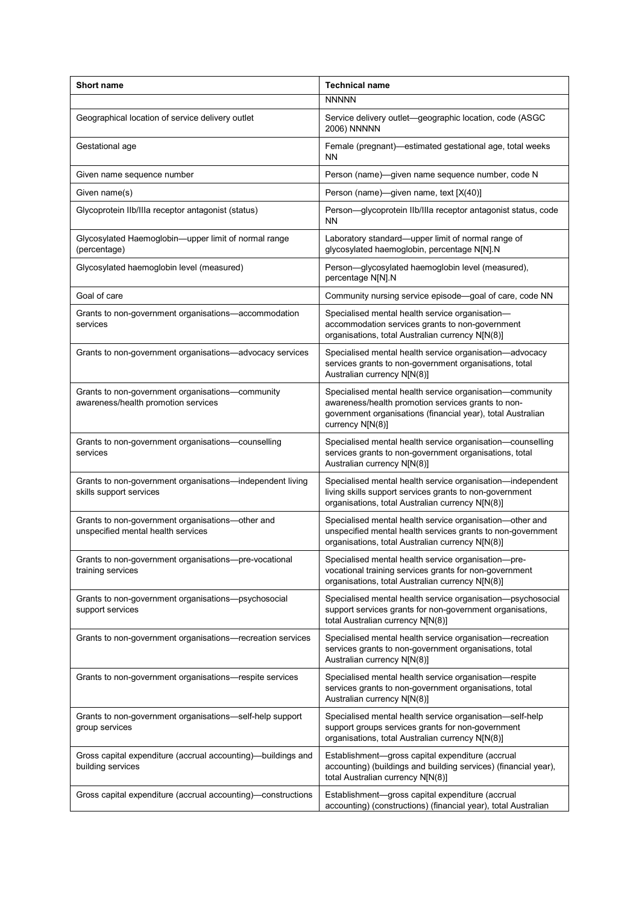| <b>Short name</b>                                                                       | <b>Technical name</b>                                                                                                                                                                             |
|-----------------------------------------------------------------------------------------|---------------------------------------------------------------------------------------------------------------------------------------------------------------------------------------------------|
|                                                                                         | <b>NNNNN</b>                                                                                                                                                                                      |
| Geographical location of service delivery outlet                                        | Service delivery outlet—geographic location, code (ASGC<br>2006) NNNNN                                                                                                                            |
| Gestational age                                                                         | Female (pregnant)—estimated gestational age, total weeks<br><b>NN</b>                                                                                                                             |
| Given name sequence number                                                              | Person (name)—given name sequence number, code N                                                                                                                                                  |
| Given name(s)                                                                           | Person (name)—given name, text [X(40)]                                                                                                                                                            |
| Glycoprotein IIb/IIIa receptor antagonist (status)                                      | Person-glycoprotein IIb/IIIa receptor antagonist status, code<br><b>NN</b>                                                                                                                        |
| Glycosylated Haemoglobin-upper limit of normal range<br>(percentage)                    | Laboratory standard-upper limit of normal range of<br>glycosylated haemoglobin, percentage N[N].N                                                                                                 |
| Glycosylated haemoglobin level (measured)                                               | Person-glycosylated haemoglobin level (measured),<br>percentage N[N].N                                                                                                                            |
| Goal of care                                                                            | Community nursing service episode-goal of care, code NN                                                                                                                                           |
| Grants to non-government organisations-accommodation<br>services                        | Specialised mental health service organisation-<br>accommodation services grants to non-government<br>organisations, total Australian currency N[N(8)]                                            |
| Grants to non-government organisations—advocacy services                                | Specialised mental health service organisation-advocacy<br>services grants to non-government organisations, total<br>Australian currency N[N(8)]                                                  |
| Grants to non-government organisations-community<br>awareness/health promotion services | Specialised mental health service organisation-community<br>awareness/health promotion services grants to non-<br>government organisations (financial year), total Australian<br>currency N[N(8)] |
| Grants to non-government organisations-counselling<br>services                          | Specialised mental health service organisation-counselling<br>services grants to non-government organisations, total<br>Australian currency N[N(8)]                                               |
| Grants to non-government organisations-independent living<br>skills support services    | Specialised mental health service organisation-independent<br>living skills support services grants to non-government<br>organisations, total Australian currency N[N(8)]                         |
| Grants to non-government organisations-other and<br>unspecified mental health services  | Specialised mental health service organisation-other and<br>unspecified mental health services grants to non-government<br>organisations, total Australian currency N[N(8)]                       |
| Grants to non-government organisations-pre-vocational<br>training services              | Specialised mental health service organisation-pre-<br>vocational training services grants for non-government<br>organisations, total Australian currency N[N(8)]                                 |
| Grants to non-government organisations--psychosocial<br>support services                | Specialised mental health service organisation-psychosocial<br>support services grants for non-government organisations,<br>total Australian currency N[N(8)]                                     |
| Grants to non-government organisations-recreation services                              | Specialised mental health service organisation-recreation<br>services grants to non-government organisations, total<br>Australian currency N[N(8)]                                                |
| Grants to non-government organisations—respite services                                 | Specialised mental health service organisation-respite<br>services grants to non-government organisations, total<br>Australian currency N[N(8)]                                                   |
| Grants to non-government organisations-self-help support<br>group services              | Specialised mental health service organisation-self-help<br>support groups services grants for non-government<br>organisations, total Australian currency N[N(8)]                                 |
| Gross capital expenditure (accrual accounting)—buildings and<br>building services       | Establishment-gross capital expenditure (accrual<br>accounting) (buildings and building services) (financial year),<br>total Australian currency N[N(8)]                                          |
| Gross capital expenditure (accrual accounting)—constructions                            | Establishment-gross capital expenditure (accrual<br>accounting) (constructions) (financial year), total Australian                                                                                |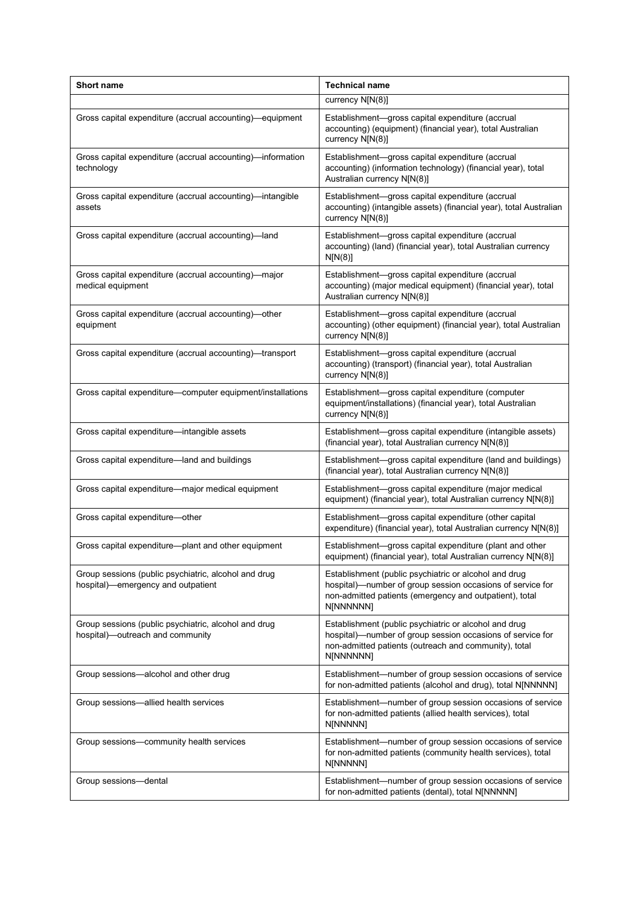| <b>Short name</b>                                                                          | <b>Technical name</b>                                                                                                                                                                       |
|--------------------------------------------------------------------------------------------|---------------------------------------------------------------------------------------------------------------------------------------------------------------------------------------------|
|                                                                                            | currency N[N(8)]                                                                                                                                                                            |
| Gross capital expenditure (accrual accounting)—equipment                                   | Establishment-gross capital expenditure (accrual<br>accounting) (equipment) (financial year), total Australian<br>currency N[N(8)]                                                          |
| Gross capital expenditure (accrual accounting)—information<br>technology                   | Establishment-gross capital expenditure (accrual<br>accounting) (information technology) (financial year), total<br>Australian currency N[N(8)]                                             |
| Gross capital expenditure (accrual accounting)-intangible<br>assets                        | Establishment-gross capital expenditure (accrual<br>accounting) (intangible assets) (financial year), total Australian<br>currency N[N(8)]                                                  |
| Gross capital expenditure (accrual accounting)-land                                        | Establishment-gross capital expenditure (accrual<br>accounting) (land) (financial year), total Australian currency<br>N[N(8)]                                                               |
| Gross capital expenditure (accrual accounting)-major<br>medical equipment                  | Establishment-gross capital expenditure (accrual<br>accounting) (major medical equipment) (financial year), total<br>Australian currency N[N(8)]                                            |
| Gross capital expenditure (accrual accounting)—other<br>equipment                          | Establishment-gross capital expenditure (accrual<br>accounting) (other equipment) (financial year), total Australian<br>currency N[N(8)]                                                    |
| Gross capital expenditure (accrual accounting)—transport                                   | Establishment-gross capital expenditure (accrual<br>accounting) (transport) (financial year), total Australian<br>currency N[N(8)]                                                          |
| Gross capital expenditure-computer equipment/installations                                 | Establishment-gross capital expenditure (computer<br>equipment/installations) (financial year), total Australian<br>currency N[N(8)]                                                        |
| Gross capital expenditure-intangible assets                                                | Establishment-gross capital expenditure (intangible assets)<br>(financial year), total Australian currency N[N(8)]                                                                          |
| Gross capital expenditure-land and buildings                                               | Establishment-gross capital expenditure (land and buildings)<br>(financial year), total Australian currency N[N(8)]                                                                         |
| Gross capital expenditure—major medical equipment                                          | Establishment-gross capital expenditure (major medical<br>equipment) (financial year), total Australian currency N[N(8)]                                                                    |
| Gross capital expenditure-other                                                            | Establishment-gross capital expenditure (other capital<br>expenditure) (financial year), total Australian currency N[N(8)]                                                                  |
| Gross capital expenditure-plant and other equipment                                        | Establishment-gross capital expenditure (plant and other<br>equipment) (financial year), total Australian currency N[N(8)]                                                                  |
| Group sessions (public psychiatric, alcohol and drug<br>hospital)—emergency and outpatient | Establishment (public psychiatric or alcohol and drug<br>hospital)—number of group session occasions of service for<br>non-admitted patients (emergency and outpatient), total<br>N[NNNNNN] |
| Group sessions (public psychiatric, alcohol and drug<br>hospital)—outreach and community   | Establishment (public psychiatric or alcohol and drug<br>hospital)—number of group session occasions of service for<br>non-admitted patients (outreach and community), total<br>N[NNNNNN]   |
| Group sessions-alcohol and other drug                                                      | Establishment-number of group session occasions of service<br>for non-admitted patients (alcohol and drug), total N[NNNNN]                                                                  |
| Group sessions-allied health services                                                      | Establishment-number of group session occasions of service<br>for non-admitted patients (allied health services), total<br>N[NNNNN]                                                         |
| Group sessions-community health services                                                   | Establishment-number of group session occasions of service<br>for non-admitted patients (community health services), total<br>N[NNNNN]                                                      |
| Group sessions-dental                                                                      | Establishment-number of group session occasions of service<br>for non-admitted patients (dental), total N[NNNNN]                                                                            |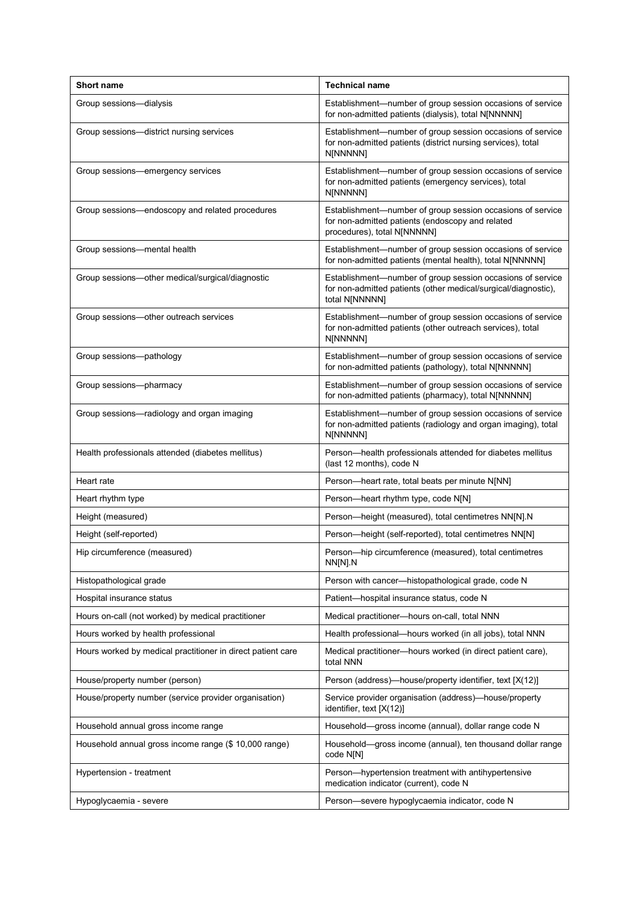| <b>Short name</b>                                           | <b>Technical name</b>                                                                                                                          |
|-------------------------------------------------------------|------------------------------------------------------------------------------------------------------------------------------------------------|
| Group sessions-dialysis                                     | Establishment-number of group session occasions of service<br>for non-admitted patients (dialysis), total N[NNNNN]                             |
| Group sessions-district nursing services                    | Establishment-number of group session occasions of service<br>for non-admitted patients (district nursing services), total<br>N[NNNNN]         |
| Group sessions—emergency services                           | Establishment-number of group session occasions of service<br>for non-admitted patients (emergency services), total<br>N[NNNNN]                |
| Group sessions-endoscopy and related procedures             | Establishment-number of group session occasions of service<br>for non-admitted patients (endoscopy and related<br>procedures), total N[NNNNN]  |
| Group sessions-mental health                                | Establishment-number of group session occasions of service<br>for non-admitted patients (mental health), total N[NNNNN]                        |
| Group sessions-other medical/surgical/diagnostic            | Establishment-number of group session occasions of service<br>for non-admitted patients (other medical/surgical/diagnostic),<br>total N[NNNNN] |
| Group sessions-other outreach services                      | Establishment-number of group session occasions of service<br>for non-admitted patients (other outreach services), total<br>N[NNNNN]           |
| Group sessions-pathology                                    | Establishment-number of group session occasions of service<br>for non-admitted patients (pathology), total N[NNNNN]                            |
| Group sessions-pharmacy                                     | Establishment-number of group session occasions of service<br>for non-admitted patients (pharmacy), total N[NNNNN]                             |
| Group sessions-radiology and organ imaging                  | Establishment-number of group session occasions of service<br>for non-admitted patients (radiology and organ imaging), total<br>N[NNNNN]       |
| Health professionals attended (diabetes mellitus)           | Person-health professionals attended for diabetes mellitus<br>(last 12 months), code N                                                         |
| Heart rate                                                  | Person-heart rate, total beats per minute N[NN]                                                                                                |
| Heart rhythm type                                           | Person-heart rhythm type, code N[N]                                                                                                            |
| Height (measured)                                           | Person-height (measured), total centimetres NN[N].N                                                                                            |
| Height (self-reported)                                      | Person-height (self-reported), total centimetres NN[N]                                                                                         |
| Hip circumference (measured)                                | Person-hip circumference (measured), total centimetres<br>NN[N] N                                                                              |
| Histopathological grade                                     | Person with cancer-histopathological grade, code N                                                                                             |
| Hospital insurance status                                   | Patient-hospital insurance status, code N                                                                                                      |
| Hours on-call (not worked) by medical practitioner          | Medical practitioner-hours on-call, total NNN                                                                                                  |
| Hours worked by health professional                         | Health professional—hours worked (in all jobs), total NNN                                                                                      |
| Hours worked by medical practitioner in direct patient care | Medical practitioner-hours worked (in direct patient care),<br>total NNN                                                                       |
| House/property number (person)                              | Person (address)—house/property identifier, text [X(12)]                                                                                       |
| House/property number (service provider organisation)       | Service provider organisation (address)—house/property<br>identifier, text [X(12)]                                                             |
| Household annual gross income range                         | Household-gross income (annual), dollar range code N                                                                                           |
| Household annual gross income range (\$10,000 range)        | Household—gross income (annual), ten thousand dollar range<br>code N[N]                                                                        |
| Hypertension - treatment                                    | Person-hypertension treatment with antihypertensive<br>medication indicator (current), code N                                                  |
| Hypoglycaemia - severe                                      | Person-severe hypoglycaemia indicator, code N                                                                                                  |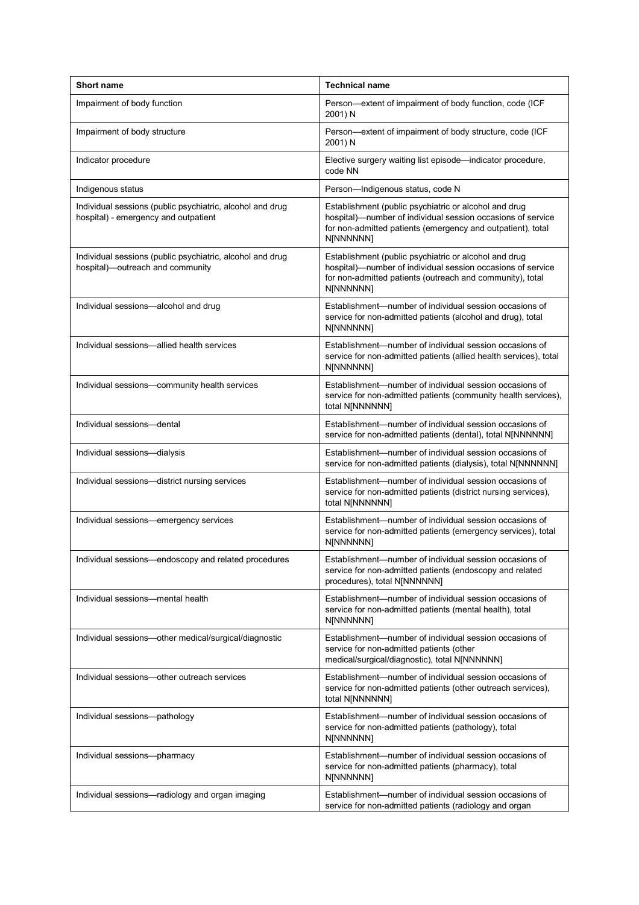| <b>Short name</b>                                                                                 | <b>Technical name</b>                                                                                                                                                                            |
|---------------------------------------------------------------------------------------------------|--------------------------------------------------------------------------------------------------------------------------------------------------------------------------------------------------|
| Impairment of body function                                                                       | Person-extent of impairment of body function, code (ICF<br>2001) N                                                                                                                               |
| Impairment of body structure                                                                      | Person-extent of impairment of body structure, code (ICF<br>2001) N                                                                                                                              |
| Indicator procedure                                                                               | Elective surgery waiting list episode—indicator procedure,<br>code NN                                                                                                                            |
| Indigenous status                                                                                 | Person-Indigenous status, code N                                                                                                                                                                 |
| Individual sessions (public psychiatric, alcohol and drug<br>hospital) - emergency and outpatient | Establishment (public psychiatric or alcohol and drug<br>hospital)-number of individual session occasions of service<br>for non-admitted patients (emergency and outpatient), total<br>N[NNNNNN] |
| Individual sessions (public psychiatric, alcohol and drug<br>hospital)-outreach and community     | Establishment (public psychiatric or alcohol and drug<br>hospital)—number of individual session occasions of service<br>for non-admitted patients (outreach and community), total<br>N[NNNNNN]   |
| Individual sessions-alcohol and drug                                                              | Establishment—number of individual session occasions of<br>service for non-admitted patients (alcohol and drug), total<br>N[NNNNNN]                                                              |
| Individual sessions-allied health services                                                        | Establishment—number of individual session occasions of<br>service for non-admitted patients (allied health services), total<br>N[NNNNNN]                                                        |
| Individual sessions-community health services                                                     | Establishment—number of individual session occasions of<br>service for non-admitted patients (community health services),<br>total N[NNNNNN]                                                     |
| Individual sessions-dental                                                                        | Establishment—number of individual session occasions of<br>service for non-admitted patients (dental), total N[NNNNNN]                                                                           |
| Individual sessions-dialysis                                                                      | Establishment—number of individual session occasions of<br>service for non-admitted patients (dialysis), total N[NNNNNN]                                                                         |
| Individual sessions-district nursing services                                                     | Establishment—number of individual session occasions of<br>service for non-admitted patients (district nursing services),<br>total N[NNNNNN]                                                     |
| Individual sessions-emergency services                                                            | Establishment-number of individual session occasions of<br>service for non-admitted patients (emergency services), total<br>N[NNNNNN]                                                            |
| Individual sessions-endoscopy and related procedures                                              | Establishment-number of individual session occasions of<br>service for non-admitted patients (endoscopy and related<br>procedures), total N[NNNNNN]                                              |
| Individual sessions-mental health                                                                 | Establishment—number of individual session occasions of<br>service for non-admitted patients (mental health), total<br>N[NNNNNN]                                                                 |
| Individual sessions-other medical/surgical/diagnostic                                             | Establishment—number of individual session occasions of<br>service for non-admitted patients (other<br>medical/surgical/diagnostic), total N[NNNNNN]                                             |
| Individual sessions-other outreach services                                                       | Establishment-number of individual session occasions of<br>service for non-admitted patients (other outreach services),<br>total N[NNNNNN]                                                       |
| Individual sessions-pathology                                                                     | Establishment—number of individual session occasions of<br>service for non-admitted patients (pathology), total<br>N[NNNNNN]                                                                     |
| Individual sessions-pharmacy                                                                      | Establishment—number of individual session occasions of<br>service for non-admitted patients (pharmacy), total<br>N[NNNNNN]                                                                      |
| Individual sessions-radiology and organ imaging                                                   | Establishment-number of individual session occasions of<br>service for non-admitted patients (radiology and organ                                                                                |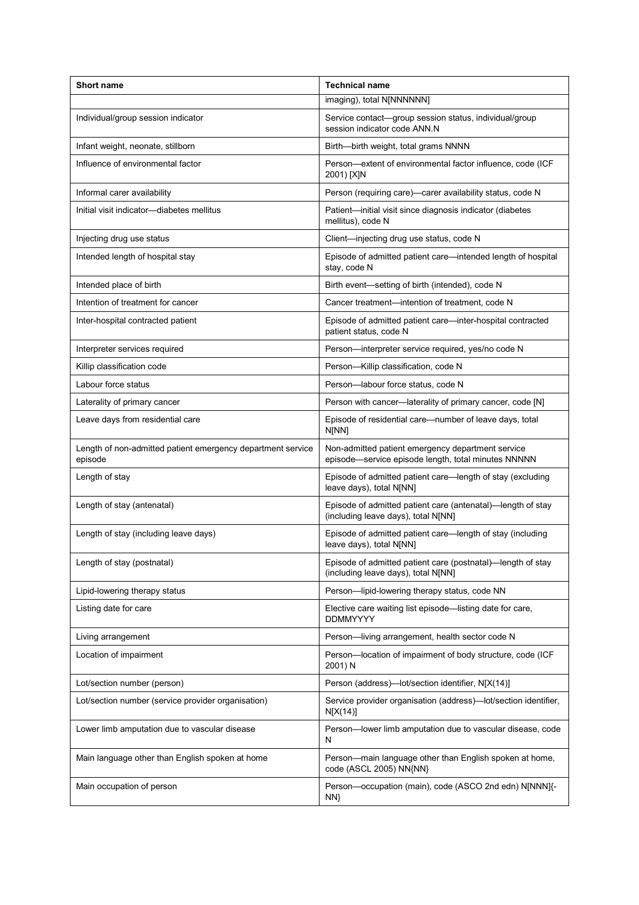| <b>Short name</b>                                                      | <b>Technical name</b>                                                                                    |
|------------------------------------------------------------------------|----------------------------------------------------------------------------------------------------------|
|                                                                        | imaging), total N[NNNNNN]                                                                                |
| Individual/group session indicator                                     | Service contact-group session status, individual/group<br>session indicator code ANN.N                   |
| Infant weight, neonate, stillborn                                      | Birth-birth weight, total grams NNNN                                                                     |
| Influence of environmental factor                                      | Person-extent of environmental factor influence, code (ICF<br>2001) [X]N                                 |
| Informal carer availability                                            | Person (requiring care)-carer availability status, code N                                                |
| Initial visit indicator-diabetes mellitus                              | Patient-initial visit since diagnosis indicator (diabetes<br>mellitus), code N                           |
| Injecting drug use status                                              | Client-injecting drug use status, code N                                                                 |
| Intended length of hospital stay                                       | Episode of admitted patient care—intended length of hospital<br>stay, code N                             |
| Intended place of birth                                                | Birth event—setting of birth (intended), code N                                                          |
| Intention of treatment for cancer                                      | Cancer treatment-intention of treatment, code N                                                          |
| Inter-hospital contracted patient                                      | Episode of admitted patient care-inter-hospital contracted<br>patient status, code N                     |
| Interpreter services required                                          | Person—interpreter service required, yes/no code N                                                       |
| Killip classification code                                             | Person-Killip classification, code N                                                                     |
| Labour force status                                                    | Person-labour force status, code N                                                                       |
| Laterality of primary cancer                                           | Person with cancer-laterality of primary cancer, code [N]                                                |
| Leave days from residential care                                       | Episode of residential care-number of leave days, total<br>N[NN]                                         |
| Length of non-admitted patient emergency department service<br>episode | Non-admitted patient emergency department service<br>episode-service episode length, total minutes NNNNN |
| Length of stay                                                         | Episode of admitted patient care-length of stay (excluding<br>leave days), total N[NN]                   |
| Length of stay (antenatal)                                             | Episode of admitted patient care (antenatal)-length of stay<br>(including leave days), total N[NN]       |
| Length of stay (including leave days)                                  | Episode of admitted patient care-length of stay (including<br>leave days), total N[NN]                   |
| Length of stay (postnatal)                                             | Episode of admitted patient care (postnatal)-length of stay<br>(including leave days), total N[NN]       |
| Lipid-lowering therapy status                                          | Person-lipid-lowering therapy status, code NN                                                            |
| Listing date for care                                                  | Elective care waiting list episode-listing date for care,<br><b>DDMMYYYY</b>                             |
| Living arrangement                                                     | Person-living arrangement, health sector code N                                                          |
| Location of impairment                                                 | Person-location of impairment of body structure, code (ICF<br>2001) N                                    |
| Lot/section number (person)                                            | Person (address)-lot/section identifier, N[X(14)]                                                        |
| Lot/section number (service provider organisation)                     | Service provider organisation (address)—lot/section identifier,<br>N[X(14)]                              |
| Lower limb amputation due to vascular disease                          | Person-lower limb amputation due to vascular disease, code<br>N                                          |
| Main language other than English spoken at home                        | Person-main language other than English spoken at home,<br>code (ASCL 2005) NN{NN}                       |
| Main occupation of person                                              | Person-occupation (main), code (ASCO 2nd edn) N[NNN]{-<br>NN}                                            |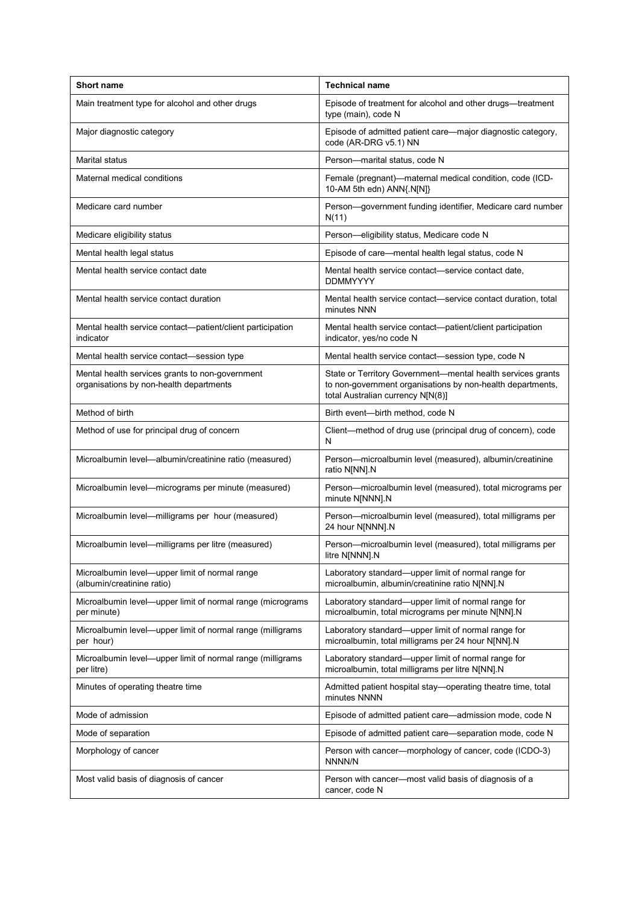| <b>Short name</b>                                                                          | <b>Technical name</b>                                                                                                                                          |
|--------------------------------------------------------------------------------------------|----------------------------------------------------------------------------------------------------------------------------------------------------------------|
| Main treatment type for alcohol and other drugs                                            | Episode of treatment for alcohol and other drugs—treatment<br>type (main), code N                                                                              |
| Major diagnostic category                                                                  | Episode of admitted patient care—major diagnostic category,<br>code (AR-DRG v5.1) NN                                                                           |
| <b>Marital status</b>                                                                      | Person-marital status, code N                                                                                                                                  |
| Maternal medical conditions                                                                | Female (pregnant)-maternal medical condition, code (ICD-<br>10-AM 5th edn) ANN{.N[N]}                                                                          |
| Medicare card number                                                                       | Person-government funding identifier, Medicare card number<br>N(11)                                                                                            |
| Medicare eligibility status                                                                | Person-eligibility status, Medicare code N                                                                                                                     |
| Mental health legal status                                                                 | Episode of care—mental health legal status, code N                                                                                                             |
| Mental health service contact date                                                         | Mental health service contact—service contact date,<br><b>DDMMYYYY</b>                                                                                         |
| Mental health service contact duration                                                     | Mental health service contact—service contact duration, total<br>minutes NNN                                                                                   |
| Mental health service contact—patient/client participation<br>indicator                    | Mental health service contact—patient/client participation<br>indicator, yes/no code N                                                                         |
| Mental health service contact-session type                                                 | Mental health service contact—session type, code N                                                                                                             |
| Mental health services grants to non-government<br>organisations by non-health departments | State or Territory Government—mental health services grants<br>to non-government organisations by non-health departments,<br>total Australian currency N[N(8)] |
| Method of birth                                                                            | Birth event-birth method, code N                                                                                                                               |
| Method of use for principal drug of concern                                                | Client-method of drug use (principal drug of concern), code<br>N                                                                                               |
| Microalbumin level-albumin/creatinine ratio (measured)                                     | Person-microalbumin level (measured), albumin/creatinine<br>ratio N[NN].N                                                                                      |
| Microalbumin level—micrograms per minute (measured)                                        | Person-microalbumin level (measured), total micrograms per<br>minute N[NNN].N                                                                                  |
| Microalbumin level-milligrams per hour (measured)                                          | Person-microalbumin level (measured), total milligrams per<br>24 hour N[NNN].N                                                                                 |
| Microalbumin level-milligrams per litre (measured)                                         | Person-microalbumin level (measured), total milligrams per<br>litre N[NNN].N                                                                                   |
| Microalbumin level-upper limit of normal range<br>(albumin/creatinine ratio)               | Laboratory standard-upper limit of normal range for<br>microalbumin, albumin/creatinine ratio N[NN].N                                                          |
| Microalbumin level-upper limit of normal range (micrograms<br>per minute)                  | Laboratory standard-upper limit of normal range for<br>microalbumin, total micrograms per minute N[NN].N                                                       |
| Microalbumin level-upper limit of normal range (milligrams<br>per hour)                    | Laboratory standard-upper limit of normal range for<br>microalbumin, total milligrams per 24 hour N[NN].N                                                      |
| Microalbumin level-upper limit of normal range (milligrams<br>per litre)                   | Laboratory standard-upper limit of normal range for<br>microalbumin, total milligrams per litre N[NN].N                                                        |
| Minutes of operating theatre time                                                          | Admitted patient hospital stay-operating theatre time, total<br>minutes NNNN                                                                                   |
| Mode of admission                                                                          | Episode of admitted patient care-admission mode, code N                                                                                                        |
| Mode of separation                                                                         | Episode of admitted patient care-separation mode, code N                                                                                                       |
| Morphology of cancer                                                                       | Person with cancer-morphology of cancer, code (ICDO-3)<br>NNNN/N                                                                                               |
| Most valid basis of diagnosis of cancer                                                    | Person with cancer-most valid basis of diagnosis of a<br>cancer, code N                                                                                        |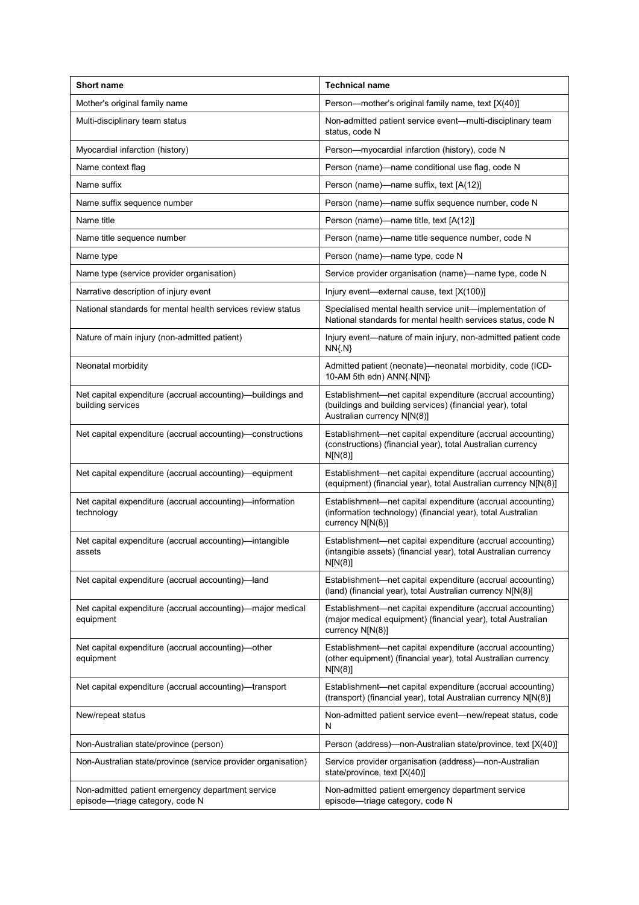| <b>Short name</b>                                                                    | <b>Technical name</b>                                                                                                                                  |
|--------------------------------------------------------------------------------------|--------------------------------------------------------------------------------------------------------------------------------------------------------|
| Mother's original family name                                                        | Person-mother's original family name, text [X(40)]                                                                                                     |
| Multi-disciplinary team status                                                       | Non-admitted patient service event-multi-disciplinary team<br>status, code N                                                                           |
| Myocardial infarction (history)                                                      | Person-myocardial infarction (history), code N                                                                                                         |
| Name context flag                                                                    | Person (name)—name conditional use flag, code N                                                                                                        |
| Name suffix                                                                          | Person (name)—name suffix, text [A(12)]                                                                                                                |
| Name suffix sequence number                                                          | Person (name)-name suffix sequence number, code N                                                                                                      |
| Name title                                                                           | Person (name)—name title, text [A(12)]                                                                                                                 |
| Name title sequence number                                                           | Person (name)—name title sequence number, code N                                                                                                       |
| Name type                                                                            | Person (name)-name type, code N                                                                                                                        |
| Name type (service provider organisation)                                            | Service provider organisation (name)—name type, code N                                                                                                 |
| Narrative description of injury event                                                | Injury event-external cause, text [X(100)]                                                                                                             |
| National standards for mental health services review status                          | Specialised mental health service unit-implementation of<br>National standards for mental health services status, code N                               |
| Nature of main injury (non-admitted patient)                                         | Injury event—nature of main injury, non-admitted patient code<br>$NN{N}$                                                                               |
| Neonatal morbidity                                                                   | Admitted patient (neonate)—neonatal morbidity, code (ICD-<br>10-AM 5th edn) ANN{.N[N]}                                                                 |
| Net capital expenditure (accrual accounting)—buildings and<br>building services      | Establishment-net capital expenditure (accrual accounting)<br>(buildings and building services) (financial year), total<br>Australian currency N[N(8)] |
| Net capital expenditure (accrual accounting)—constructions                           | Establishment-net capital expenditure (accrual accounting)<br>(constructions) (financial year), total Australian currency<br>N[N(8)]                   |
| Net capital expenditure (accrual accounting)—equipment                               | Establishment-net capital expenditure (accrual accounting)<br>(equipment) (financial year), total Australian currency N[N(8)]                          |
| Net capital expenditure (accrual accounting)—information<br>technology               | Establishment-net capital expenditure (accrual accounting)<br>(information technology) (financial year), total Australian<br>currency N[N(8)]          |
| Net capital expenditure (accrual accounting)-intangible<br>assets                    | Establishment-net capital expenditure (accrual accounting)<br>(intangible assets) (financial year), total Australian currency<br>N[N(8)]               |
| Net capital expenditure (accrual accounting)-land                                    | Establishment-net capital expenditure (accrual accounting)<br>(land) (financial year), total Australian currency N[N(8)]                               |
| Net capital expenditure (accrual accounting)-major medical<br>equipment              | Establishment-net capital expenditure (accrual accounting)<br>(major medical equipment) (financial year), total Australian<br>currency N[N(8)]         |
| Net capital expenditure (accrual accounting)-other<br>equipment                      | Establishment-net capital expenditure (accrual accounting)<br>(other equipment) (financial year), total Australian currency<br>N[N(8)]                 |
| Net capital expenditure (accrual accounting)-transport                               | Establishment-net capital expenditure (accrual accounting)<br>(transport) (financial year), total Australian currency N[N(8)]                          |
| New/repeat status                                                                    | Non-admitted patient service event-new/repeat status, code<br>N                                                                                        |
| Non-Australian state/province (person)                                               | Person (address)—non-Australian state/province, text [X(40)]                                                                                           |
| Non-Australian state/province (service provider organisation)                        | Service provider organisation (address)-non-Australian<br>state/province, text [X(40)]                                                                 |
| Non-admitted patient emergency department service<br>episode-triage category, code N | Non-admitted patient emergency department service<br>episode-triage category, code N                                                                   |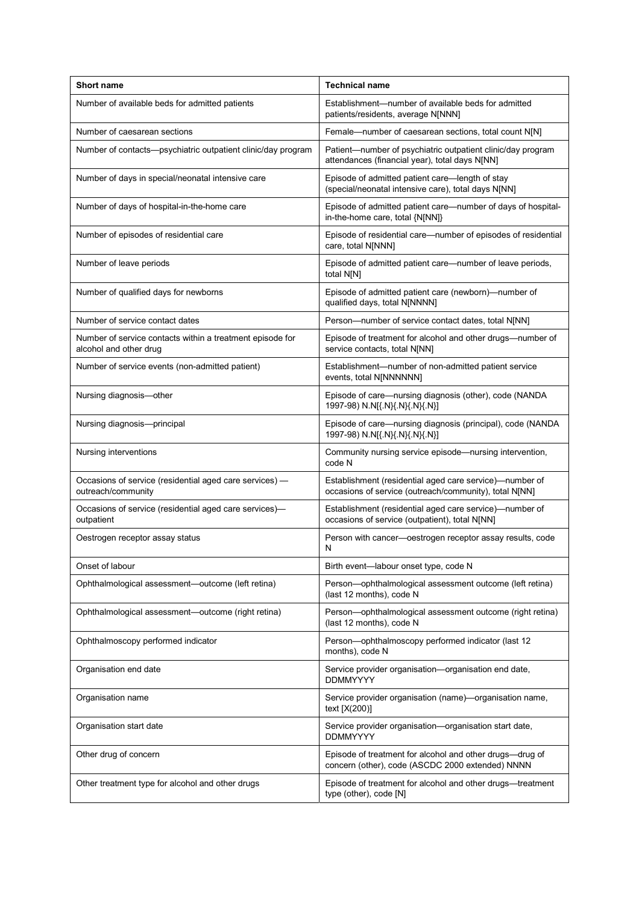| <b>Short name</b>                                                                   | <b>Technical name</b>                                                                                             |
|-------------------------------------------------------------------------------------|-------------------------------------------------------------------------------------------------------------------|
| Number of available beds for admitted patients                                      | Establishment—number of available beds for admitted<br>patients/residents, average N[NNN]                         |
| Number of caesarean sections                                                        | Female-number of caesarean sections, total count N[N]                                                             |
| Number of contacts-psychiatric outpatient clinic/day program                        | Patient-number of psychiatric outpatient clinic/day program<br>attendances (financial year), total days N[NN]     |
| Number of days in special/neonatal intensive care                                   | Episode of admitted patient care-length of stay<br>(special/neonatal intensive care), total days N[NN]            |
| Number of days of hospital-in-the-home care                                         | Episode of admitted patient care-number of days of hospital-<br>in-the-home care, total {N[NN]}                   |
| Number of episodes of residential care                                              | Episode of residential care-number of episodes of residential<br>care, total N[NNN]                               |
| Number of leave periods                                                             | Episode of admitted patient care—number of leave periods,<br>total N[N]                                           |
| Number of qualified days for newborns                                               | Episode of admitted patient care (newborn)—number of<br>qualified days, total N[NNNN]                             |
| Number of service contact dates                                                     | Person-number of service contact dates, total N[NN]                                                               |
| Number of service contacts within a treatment episode for<br>alcohol and other drug | Episode of treatment for alcohol and other drugs-number of<br>service contacts, total N[NN]                       |
| Number of service events (non-admitted patient)                                     | Establishment-number of non-admitted patient service<br>events, total N[NNNNNN]                                   |
| Nursing diagnosis-other                                                             | Episode of care-nursing diagnosis (other), code (NANDA<br>1997-98) N.N[{.N}{.N}{.N}{.N}]                          |
| Nursing diagnosis-principal                                                         | Episode of care-nursing diagnosis (principal), code (NANDA<br>1997-98) N.N[{.N}{.N}{.N}{.N}]                      |
| Nursing interventions                                                               | Community nursing service episode-nursing intervention,<br>code N                                                 |
| Occasions of service (residential aged care services) -<br>outreach/community       | Establishment (residential aged care service)-number of<br>occasions of service (outreach/community), total N[NN] |
| Occasions of service (residential aged care services)-<br>outpatient                | Establishment (residential aged care service)-number of<br>occasions of service (outpatient), total N[NN]         |
| Oestrogen receptor assay status                                                     | Person with cancer—oestrogen receptor assay results, code<br>N                                                    |
| Onset of labour                                                                     | Birth event-labour onset type, code N                                                                             |
| Ophthalmological assessment-outcome (left retina)                                   | Person-ophthalmological assessment outcome (left retina)<br>(last 12 months), code N                              |
| Ophthalmological assessment—outcome (right retina)                                  | Person-ophthalmological assessment outcome (right retina)<br>(last 12 months), code N                             |
| Ophthalmoscopy performed indicator                                                  | Person-ophthalmoscopy performed indicator (last 12<br>months), code N                                             |
| Organisation end date                                                               | Service provider organisation-organisation end date,<br><b>DDMMYYYY</b>                                           |
| Organisation name                                                                   | Service provider organisation (name)—organisation name,<br>text [X(200)]                                          |
| Organisation start date                                                             | Service provider organisation-organisation start date,<br><b>DDMMYYYY</b>                                         |
| Other drug of concern                                                               | Episode of treatment for alcohol and other drugs-drug of<br>concern (other), code (ASCDC 2000 extended) NNNN      |
| Other treatment type for alcohol and other drugs                                    | Episode of treatment for alcohol and other drugs—treatment<br>type (other), code [N]                              |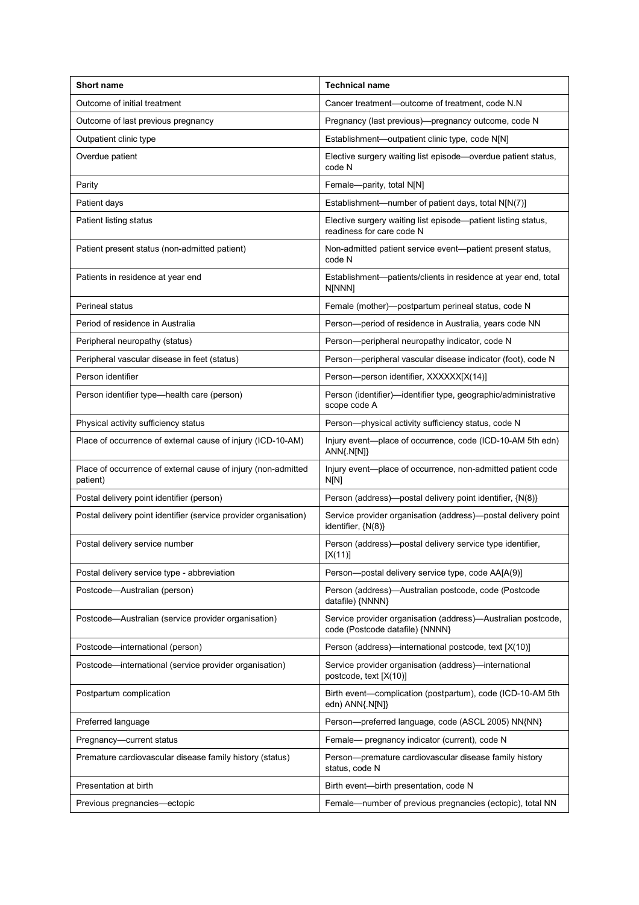| <b>Short name</b>                                                         | <b>Technical name</b>                                                                           |
|---------------------------------------------------------------------------|-------------------------------------------------------------------------------------------------|
| Outcome of initial treatment                                              | Cancer treatment-outcome of treatment, code N.N                                                 |
| Outcome of last previous pregnancy                                        | Pregnancy (last previous)—pregnancy outcome, code N                                             |
| Outpatient clinic type                                                    | Establishment-outpatient clinic type, code N[N]                                                 |
| Overdue patient                                                           | Elective surgery waiting list episode—overdue patient status,<br>code N                         |
| Parity                                                                    | Female-parity, total N[N]                                                                       |
| Patient days                                                              | Establishment-number of patient days, total N[N(7)]                                             |
| Patient listing status                                                    | Elective surgery waiting list episode—patient listing status,<br>readiness for care code N      |
| Patient present status (non-admitted patient)                             | Non-admitted patient service event-patient present status,<br>code N                            |
| Patients in residence at year end                                         | Establishment-patients/clients in residence at year end, total<br>N[NNN]                        |
| Perineal status                                                           | Female (mother)-postpartum perineal status, code N                                              |
| Period of residence in Australia                                          | Person-period of residence in Australia, years code NN                                          |
| Peripheral neuropathy (status)                                            | Person-peripheral neuropathy indicator, code N                                                  |
| Peripheral vascular disease in feet (status)                              | Person-peripheral vascular disease indicator (foot), code N                                     |
| Person identifier                                                         | Person-person identifier, XXXXXX[X(14)]                                                         |
| Person identifier type—health care (person)                               | Person (identifier)—identifier type, geographic/administrative<br>scope code A                  |
| Physical activity sufficiency status                                      | Person-physical activity sufficiency status, code N                                             |
| Place of occurrence of external cause of injury (ICD-10-AM)               | Injury event—place of occurrence, code (ICD-10-AM 5th edn)<br>ANN{.N[N]}                        |
| Place of occurrence of external cause of injury (non-admitted<br>patient) | Injury event-place of occurrence, non-admitted patient code<br>N[N]                             |
| Postal delivery point identifier (person)                                 | Person (address)-postal delivery point identifier, {N(8)}                                       |
| Postal delivery point identifier (service provider organisation)          | Service provider organisation (address)—postal delivery point<br>identifier, {N(8)}             |
| Postal delivery service number                                            | Person (address)—postal delivery service type identifier,<br>[X(11)]                            |
| Postal delivery service type - abbreviation                               | Person-postal delivery service type, code AA[A(9)]                                              |
| Postcode-Australian (person)                                              | Person (address)-Australian postcode, code (Postcode<br>datafile) {NNNN}                        |
| Postcode-Australian (service provider organisation)                       | Service provider organisation (address)—Australian postcode,<br>code (Postcode datafile) {NNNN} |
| Postcode-international (person)                                           | Person (address)—international postcode, text [X(10)]                                           |
| Postcode—international (service provider organisation)                    | Service provider organisation (address)-international<br>postcode, text [X(10)]                 |
| Postpartum complication                                                   | Birth event—complication (postpartum), code (ICD-10-AM 5th<br>edn) ANN{.N[N]}                   |
| Preferred language                                                        | Person-preferred language, code (ASCL 2005) NN{NN}                                              |
| Pregnancy-current status                                                  | Female- pregnancy indicator (current), code N                                                   |
| Premature cardiovascular disease family history (status)                  | Person-premature cardiovascular disease family history<br>status, code N                        |
| Presentation at birth                                                     | Birth event-birth presentation, code N                                                          |
| Previous pregnancies-ectopic                                              | Female-number of previous pregnancies (ectopic), total NN                                       |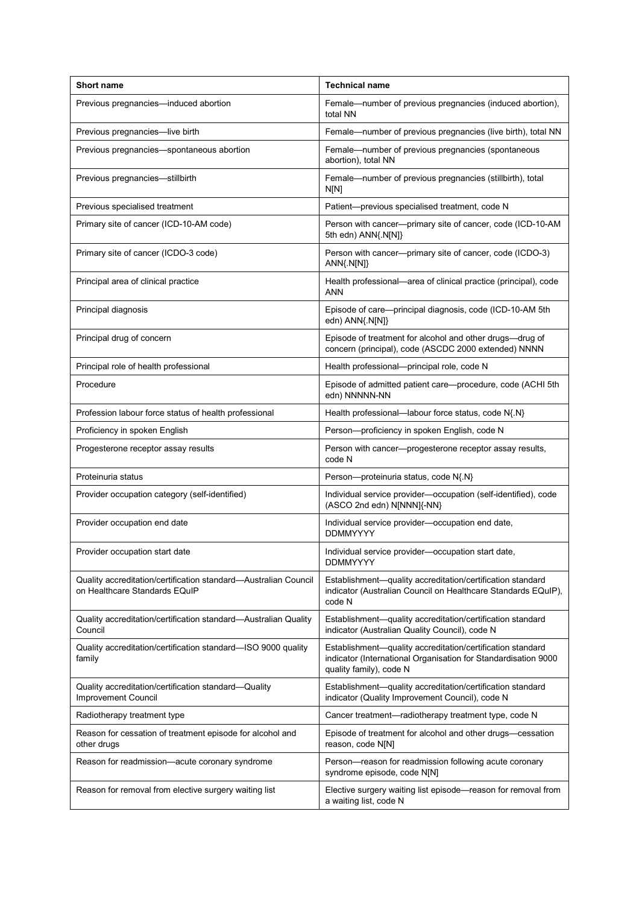| <b>Short name</b>                                                                                | <b>Technical name</b>                                                                                                                                   |
|--------------------------------------------------------------------------------------------------|---------------------------------------------------------------------------------------------------------------------------------------------------------|
| Previous pregnancies-induced abortion                                                            | Female-number of previous pregnancies (induced abortion),<br>total NN                                                                                   |
| Previous pregnancies-live birth                                                                  | Female—number of previous pregnancies (live birth), total NN                                                                                            |
| Previous pregnancies-spontaneous abortion                                                        | Female-number of previous pregnancies (spontaneous<br>abortion), total NN                                                                               |
| Previous pregnancies-stillbirth                                                                  | Female-number of previous pregnancies (stillbirth), total<br>N[N]                                                                                       |
| Previous specialised treatment                                                                   | Patient-previous specialised treatment, code N                                                                                                          |
| Primary site of cancer (ICD-10-AM code)                                                          | Person with cancer---primary site of cancer, code (ICD-10-AM<br>5th edn) ANN{.N[N]}                                                                     |
| Primary site of cancer (ICDO-3 code)                                                             | Person with cancer---primary site of cancer, code (ICDO-3)<br>ANN{.N[N]}                                                                                |
| Principal area of clinical practice                                                              | Health professional-area of clinical practice (principal), code<br><b>ANN</b>                                                                           |
| Principal diagnosis                                                                              | Episode of care-principal diagnosis, code (ICD-10-AM 5th<br>edn) ANN{.N[N]}                                                                             |
| Principal drug of concern                                                                        | Episode of treatment for alcohol and other drugs-drug of<br>concern (principal), code (ASCDC 2000 extended) NNNN                                        |
| Principal role of health professional                                                            | Health professional-principal role, code N                                                                                                              |
| Procedure                                                                                        | Episode of admitted patient care-procedure, code (ACHI 5th<br>edn) NNNNN-NN                                                                             |
| Profession labour force status of health professional                                            | Health professional-labour force status, code N{.N}                                                                                                     |
| Proficiency in spoken English                                                                    | Person-proficiency in spoken English, code N                                                                                                            |
| Progesterone receptor assay results                                                              | Person with cancer-progesterone receptor assay results,<br>code N                                                                                       |
| Proteinuria status                                                                               | Person-proteinuria status, code N{.N}                                                                                                                   |
| Provider occupation category (self-identified)                                                   | Individual service provider-occupation (self-identified), code<br>(ASCO 2nd edn) N[NNN]{-NN}                                                            |
| Provider occupation end date                                                                     | Individual service provider-occupation end date,<br><b>DDMMYYYY</b>                                                                                     |
| Provider occupation start date                                                                   | Individual service provider-occupation start date,<br>DDMMYYYY                                                                                          |
| Quality accreditation/certification standard-Australian Council<br>on Healthcare Standards EQuIP | Establishment-quality accreditation/certification standard<br>indicator (Australian Council on Healthcare Standards EQuIP),<br>code N                   |
| Quality accreditation/certification standard—Australian Quality<br>Council                       | Establishment-quality accreditation/certification standard<br>indicator (Australian Quality Council), code N                                            |
| Quality accreditation/certification standard-ISO 9000 quality<br>family                          | Establishment-quality accreditation/certification standard<br>indicator (International Organisation for Standardisation 9000<br>quality family), code N |
| Quality accreditation/certification standard-Quality<br>Improvement Council                      | Establishment-quality accreditation/certification standard<br>indicator (Quality Improvement Council), code N                                           |
| Radiotherapy treatment type                                                                      | Cancer treatment—radiotherapy treatment type, code N                                                                                                    |
| Reason for cessation of treatment episode for alcohol and<br>other drugs                         | Episode of treatment for alcohol and other drugs-cessation<br>reason, code N[N]                                                                         |
| Reason for readmission-acute coronary syndrome                                                   | Person-reason for readmission following acute coronary<br>syndrome episode, code N[N]                                                                   |
| Reason for removal from elective surgery waiting list                                            | Elective surgery waiting list episode—reason for removal from<br>a waiting list, code N                                                                 |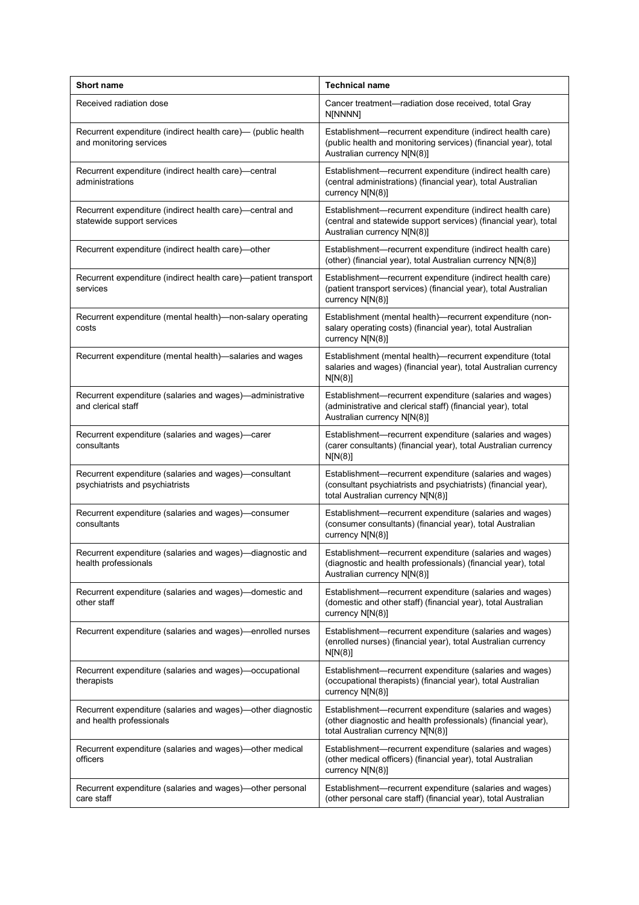| <b>Short name</b>                                                                        | <b>Technical name</b>                                                                                                                                           |
|------------------------------------------------------------------------------------------|-----------------------------------------------------------------------------------------------------------------------------------------------------------------|
| Received radiation dose                                                                  | Cancer treatment-radiation dose received, total Gray<br>N[NNNN]                                                                                                 |
| Recurrent expenditure (indirect health care)— (public health<br>and monitoring services  | Establishment-recurrent expenditure (indirect health care)<br>(public health and monitoring services) (financial year), total<br>Australian currency N[N(8)]    |
| Recurrent expenditure (indirect health care)—central<br>administrations                  | Establishment-recurrent expenditure (indirect health care)<br>(central administrations) (financial year), total Australian<br>currency N[N(8)]                  |
| Recurrent expenditure (indirect health care)—central and<br>statewide support services   | Establishment-recurrent expenditure (indirect health care)<br>(central and statewide support services) (financial year), total<br>Australian currency N[N(8)]   |
| Recurrent expenditure (indirect health care)-other                                       | Establishment-recurrent expenditure (indirect health care)<br>(other) (financial year), total Australian currency N[N(8)]                                       |
| Recurrent expenditure (indirect health care)-patient transport<br>services               | Establishment-recurrent expenditure (indirect health care)<br>(patient transport services) (financial year), total Australian<br>currency N[N(8)]               |
| Recurrent expenditure (mental health)-non-salary operating<br>costs                      | Establishment (mental health)-recurrent expenditure (non-<br>salary operating costs) (financial year), total Australian<br>currency N[N(8)]                     |
| Recurrent expenditure (mental health)-salaries and wages                                 | Establishment (mental health)-recurrent expenditure (total<br>salaries and wages) (financial year), total Australian currency<br>N[N(8)]                        |
| Recurrent expenditure (salaries and wages)-administrative<br>and clerical staff          | Establishment-recurrent expenditure (salaries and wages)<br>(administrative and clerical staff) (financial year), total<br>Australian currency N[N(8)]          |
| Recurrent expenditure (salaries and wages)—carer<br>consultants                          | Establishment-recurrent expenditure (salaries and wages)<br>(carer consultants) (financial year), total Australian currency<br>N[N(8)]                          |
| Recurrent expenditure (salaries and wages)-consultant<br>psychiatrists and psychiatrists | Establishment-recurrent expenditure (salaries and wages)<br>(consultant psychiatrists and psychiatrists) (financial year),<br>total Australian currency N[N(8)] |
| Recurrent expenditure (salaries and wages)-consumer<br>consultants                       | Establishment-recurrent expenditure (salaries and wages)<br>(consumer consultants) (financial year), total Australian<br>currency N[N(8)]                       |
| Recurrent expenditure (salaries and wages)-diagnostic and<br>health professionals        | Establishment-recurrent expenditure (salaries and wages)<br>(diagnostic and health professionals) (financial year), total<br>Australian currency N[N(8)]        |
| Recurrent expenditure (salaries and wages)—domestic and<br>other staff                   | Establishment-recurrent expenditure (salaries and wages)<br>(domestic and other staff) (financial year), total Australian<br>currency N[N(8)]                   |
| Recurrent expenditure (salaries and wages)—enrolled nurses                               | Establishment-recurrent expenditure (salaries and wages)<br>(enrolled nurses) (financial year), total Australian currency<br>N[N(8)]                            |
| Recurrent expenditure (salaries and wages)—occupational<br>therapists                    | Establishment-recurrent expenditure (salaries and wages)<br>(occupational therapists) (financial year), total Australian<br>currency N[N(8)]                    |
| Recurrent expenditure (salaries and wages)—other diagnostic<br>and health professionals  | Establishment-recurrent expenditure (salaries and wages)<br>(other diagnostic and health professionals) (financial year),<br>total Australian currency N[N(8)]  |
| Recurrent expenditure (salaries and wages)-other medical<br>officers                     | Establishment-recurrent expenditure (salaries and wages)<br>(other medical officers) (financial year), total Australian<br>currency N[N(8)]                     |
| Recurrent expenditure (salaries and wages)-other personal<br>care staff                  | Establishment-recurrent expenditure (salaries and wages)<br>(other personal care staff) (financial year), total Australian                                      |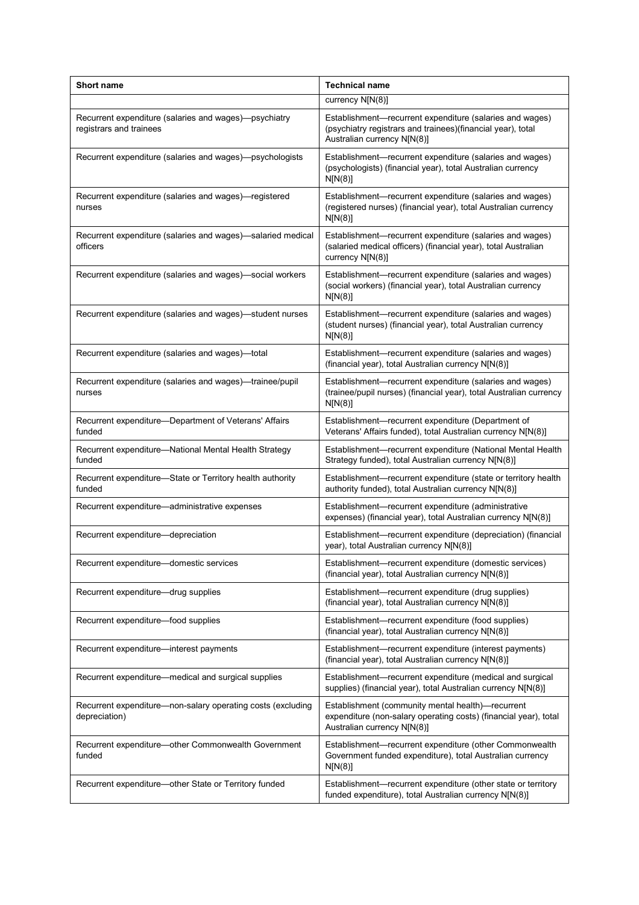| <b>Short name</b>                                                                | <b>Technical name</b>                                                                                                                                  |
|----------------------------------------------------------------------------------|--------------------------------------------------------------------------------------------------------------------------------------------------------|
|                                                                                  | currency N[N(8)]                                                                                                                                       |
| Recurrent expenditure (salaries and wages)—psychiatry<br>registrars and trainees | Establishment-recurrent expenditure (salaries and wages)<br>(psychiatry registrars and trainees)(financial year), total<br>Australian currency N[N(8)] |
| Recurrent expenditure (salaries and wages)—psychologists                         | Establishment-recurrent expenditure (salaries and wages)<br>(psychologists) (financial year), total Australian currency<br>N[N(8)]                     |
| Recurrent expenditure (salaries and wages)—registered<br>nurses                  | Establishment-recurrent expenditure (salaries and wages)<br>(registered nurses) (financial year), total Australian currency<br>N[N(8)]                 |
| Recurrent expenditure (salaries and wages)—salaried medical<br>officers          | Establishment-recurrent expenditure (salaries and wages)<br>(salaried medical officers) (financial year), total Australian<br>currency N[N(8)]         |
| Recurrent expenditure (salaries and wages)-social workers                        | Establishment-recurrent expenditure (salaries and wages)<br>(social workers) (financial year), total Australian currency<br>N[N(8)]                    |
| Recurrent expenditure (salaries and wages)-student nurses                        | Establishment-recurrent expenditure (salaries and wages)<br>(student nurses) (financial year), total Australian currency<br>N[N(8)]                    |
| Recurrent expenditure (salaries and wages)-total                                 | Establishment—recurrent expenditure (salaries and wages)<br>(financial year), total Australian currency N[N(8)]                                        |
| Recurrent expenditure (salaries and wages)—trainee/pupil<br>nurses               | Establishment-recurrent expenditure (salaries and wages)<br>(trainee/pupil nurses) (financial year), total Australian currency<br>N[N(8)]              |
| Recurrent expenditure—Department of Veterans' Affairs<br>funded                  | Establishment-recurrent expenditure (Department of<br>Veterans' Affairs funded), total Australian currency N[N(8)]                                     |
| Recurrent expenditure-National Mental Health Strategy<br>funded                  | Establishment-recurrent expenditure (National Mental Health<br>Strategy funded), total Australian currency N[N(8)]                                     |
| Recurrent expenditure-State or Territory health authority<br>funded              | Establishment-recurrent expenditure (state or territory health<br>authority funded), total Australian currency N[N(8)]                                 |
| Recurrent expenditure-administrative expenses                                    | Establishment-recurrent expenditure (administrative<br>expenses) (financial year), total Australian currency N[N(8)]                                   |
| Recurrent expenditure-depreciation                                               | Establishment-recurrent expenditure (depreciation) (financial<br>year), total Australian currency N[N(8)]                                              |
| Recurrent expenditure-domestic services                                          | Establishment-recurrent expenditure (domestic services)<br>(financial year), total Australian currency N[N(8)]                                         |
| Recurrent expenditure-drug supplies                                              | Establishment-recurrent expenditure (drug supplies)<br>(financial year), total Australian currency N[N(8)]                                             |
| Recurrent expenditure-food supplies                                              | Establishment-recurrent expenditure (food supplies)<br>(financial year), total Australian currency N[N(8)]                                             |
| Recurrent expenditure—interest payments                                          | Establishment-recurrent expenditure (interest payments)<br>(financial year), total Australian currency N[N(8)]                                         |
| Recurrent expenditure-medical and surgical supplies                              | Establishment-recurrent expenditure (medical and surgical<br>supplies) (financial year), total Australian currency N[N(8)]                             |
| Recurrent expenditure—non-salary operating costs (excluding<br>depreciation)     | Establishment (community mental health)-recurrent<br>expenditure (non-salary operating costs) (financial year), total<br>Australian currency N[N(8)]   |
| Recurrent expenditure-other Commonwealth Government<br>funded                    | Establishment-recurrent expenditure (other Commonwealth<br>Government funded expenditure), total Australian currency<br>N[N(8)]                        |
| Recurrent expenditure-other State or Territory funded                            | Establishment-recurrent expenditure (other state or territory<br>funded expenditure), total Australian currency N[N(8)]                                |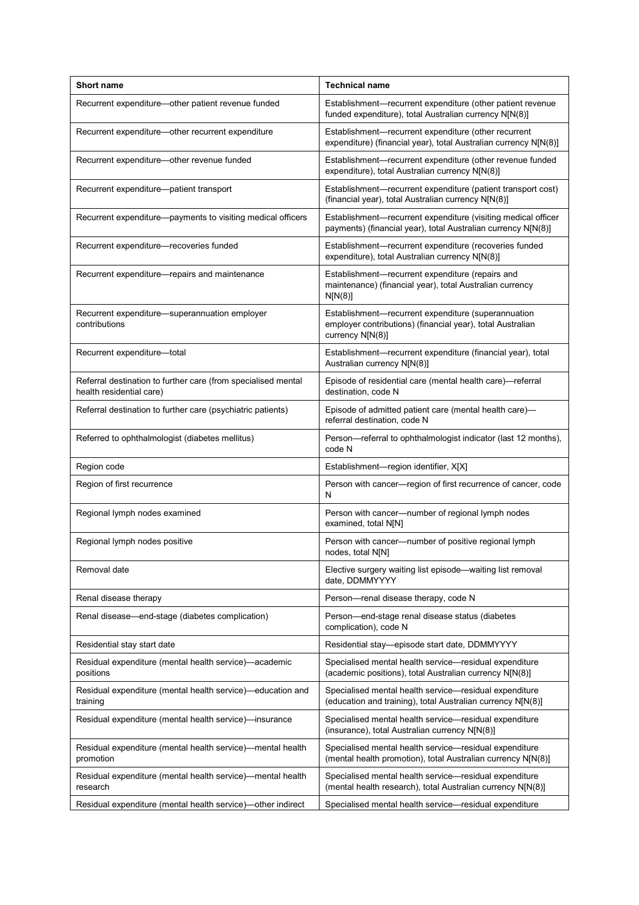| <b>Short name</b>                                                                         | <b>Technical name</b>                                                                                                                 |
|-------------------------------------------------------------------------------------------|---------------------------------------------------------------------------------------------------------------------------------------|
| Recurrent expenditure—other patient revenue funded                                        | Establishment-recurrent expenditure (other patient revenue<br>funded expenditure), total Australian currency N[N(8)]                  |
| Recurrent expenditure-other recurrent expenditure                                         | Establishment-recurrent expenditure (other recurrent<br>expenditure) (financial year), total Australian currency N[N(8)]              |
| Recurrent expenditure-other revenue funded                                                | Establishment-recurrent expenditure (other revenue funded<br>expenditure), total Australian currency N[N(8)]                          |
| Recurrent expenditure-patient transport                                                   | Establishment-recurrent expenditure (patient transport cost)<br>(financial year), total Australian currency N[N(8)]                   |
| Recurrent expenditure—payments to visiting medical officers                               | Establishment-recurrent expenditure (visiting medical officer<br>payments) (financial year), total Australian currency N[N(8)]        |
| Recurrent expenditure-recoveries funded                                                   | Establishment-recurrent expenditure (recoveries funded<br>expenditure), total Australian currency N[N(8)]                             |
| Recurrent expenditure—repairs and maintenance                                             | Establishment-recurrent expenditure (repairs and<br>maintenance) (financial year), total Australian currency<br>N[N(8)]               |
| Recurrent expenditure-superannuation employer<br>contributions                            | Establishment-recurrent expenditure (superannuation<br>employer contributions) (financial year), total Australian<br>currency N[N(8)] |
| Recurrent expenditure-total                                                               | Establishment-recurrent expenditure (financial year), total<br>Australian currency N[N(8)]                                            |
| Referral destination to further care (from specialised mental<br>health residential care) | Episode of residential care (mental health care)-referral<br>destination, code N                                                      |
| Referral destination to further care (psychiatric patients)                               | Episode of admitted patient care (mental health care)-<br>referral destination, code N                                                |
| Referred to ophthalmologist (diabetes mellitus)                                           | Person-referral to ophthalmologist indicator (last 12 months),<br>code N                                                              |
| Region code                                                                               | Establishment-region identifier, X[X]                                                                                                 |
| Region of first recurrence                                                                | Person with cancer-region of first recurrence of cancer, code<br>N                                                                    |
| Regional lymph nodes examined                                                             | Person with cancer-number of regional lymph nodes<br>examined, total N[N]                                                             |
| Regional lymph nodes positive                                                             | Person with cancer---number of positive regional lymph<br>nodes, total N[N]                                                           |
| Removal date                                                                              | Elective surgery waiting list episode—waiting list removal<br>date, DDMMYYYY                                                          |
| Renal disease therapy                                                                     | Person-renal disease therapy, code N                                                                                                  |
| Renal disease—end-stage (diabetes complication)                                           | Person-end-stage renal disease status (diabetes<br>complication), code N                                                              |
| Residential stay start date                                                               | Residential stay-episode start date, DDMMYYYY                                                                                         |
| Residual expenditure (mental health service)—academic<br>positions                        | Specialised mental health service-residual expenditure<br>(academic positions), total Australian currency N[N(8)]                     |
| Residual expenditure (mental health service)-education and<br>training                    | Specialised mental health service-residual expenditure<br>(education and training), total Australian currency N[N(8)]                 |
| Residual expenditure (mental health service)—insurance                                    | Specialised mental health service-residual expenditure<br>(insurance), total Australian currency N[N(8)]                              |
| Residual expenditure (mental health service)—mental health<br>promotion                   | Specialised mental health service—residual expenditure<br>(mental health promotion), total Australian currency N[N(8)]                |
| Residual expenditure (mental health service)—mental health<br>research                    | Specialised mental health service-residual expenditure<br>(mental health research), total Australian currency N[N(8)]                 |
| Residual expenditure (mental health service)-other indirect                               | Specialised mental health service-residual expenditure                                                                                |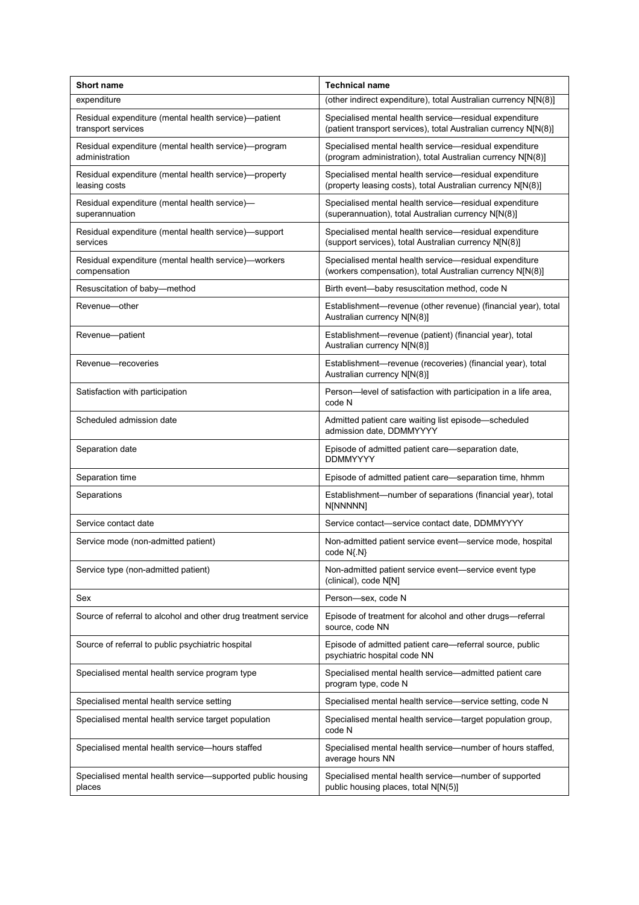| <b>Short name</b>                                                          | <b>Technical name</b>                                                                                                     |
|----------------------------------------------------------------------------|---------------------------------------------------------------------------------------------------------------------------|
| expenditure                                                                | (other indirect expenditure), total Australian currency N[N(8)]                                                           |
| Residual expenditure (mental health service)-patient<br>transport services | Specialised mental health service-residual expenditure<br>(patient transport services), total Australian currency N[N(8)] |
| Residual expenditure (mental health service)-program<br>administration     | Specialised mental health service-residual expenditure<br>(program administration), total Australian currency N[N(8)]     |
| Residual expenditure (mental health service)—property<br>leasing costs     | Specialised mental health service-residual expenditure<br>(property leasing costs), total Australian currency N[N(8)]     |
| Residual expenditure (mental health service)-<br>superannuation            | Specialised mental health service-residual expenditure<br>(superannuation), total Australian currency N[N(8)]             |
| Residual expenditure (mental health service)—support<br>services           | Specialised mental health service-residual expenditure<br>(support services), total Australian currency N[N(8)]           |
| Residual expenditure (mental health service)—workers<br>compensation       | Specialised mental health service-residual expenditure<br>(workers compensation), total Australian currency N[N(8)]       |
| Resuscitation of baby-method                                               | Birth event-baby resuscitation method, code N                                                                             |
| Revenue-other                                                              | Establishment—revenue (other revenue) (financial year), total<br>Australian currency N[N(8)]                              |
| Revenue-patient                                                            | Establishment-revenue (patient) (financial year), total<br>Australian currency N[N(8)]                                    |
| Revenue-recoveries                                                         | Establishment-revenue (recoveries) (financial year), total<br>Australian currency N[N(8)]                                 |
| Satisfaction with participation                                            | Person-level of satisfaction with participation in a life area,<br>code N                                                 |
| Scheduled admission date                                                   | Admitted patient care waiting list episode-scheduled<br>admission date, DDMMYYYY                                          |
| Separation date                                                            | Episode of admitted patient care—separation date,<br><b>DDMMYYYY</b>                                                      |
| Separation time                                                            | Episode of admitted patient care-separation time, hhmm                                                                    |
| Separations                                                                | Establishment-number of separations (financial year), total<br>N[NNNNN]                                                   |
| Service contact date                                                       | Service contact-service contact date, DDMMYYYY                                                                            |
| Service mode (non-admitted patient)                                        | Non-admitted patient service event-service mode, hospital<br>code N{.N}                                                   |
| Service type (non-admitted patient)                                        | Non-admitted patient service event—service event type<br>(clinical), code N[N]                                            |
| Sex                                                                        | Person-sex, code N                                                                                                        |
| Source of referral to alcohol and other drug treatment service             | Episode of treatment for alcohol and other drugs-referral<br>source, code NN                                              |
| Source of referral to public psychiatric hospital                          | Episode of admitted patient care-referral source, public<br>psychiatric hospital code NN                                  |
| Specialised mental health service program type                             | Specialised mental health service-admitted patient care<br>program type, code N                                           |
| Specialised mental health service setting                                  | Specialised mental health service-service setting, code N                                                                 |
| Specialised mental health service target population                        | Specialised mental health service—target population group,<br>code N                                                      |
| Specialised mental health service-hours staffed                            | Specialised mental health service--number of hours staffed,<br>average hours NN                                           |
| Specialised mental health service-supported public housing<br>places       | Specialised mental health service-number of supported<br>public housing places, total N[N(5)]                             |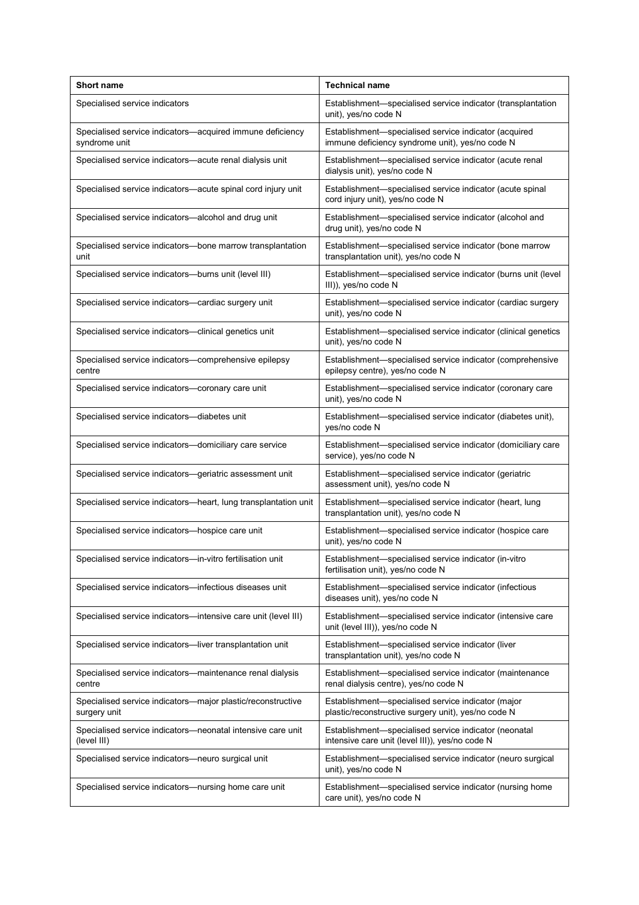| <b>Short name</b>                                                           | <b>Technical name</b>                                                                                     |
|-----------------------------------------------------------------------------|-----------------------------------------------------------------------------------------------------------|
| Specialised service indicators                                              | Establishment-specialised service indicator (transplantation<br>unit), yes/no code N                      |
| Specialised service indicators—acquired immune deficiency<br>syndrome unit  | Establishment-specialised service indicator (acquired<br>immune deficiency syndrome unit), yes/no code N  |
| Specialised service indicators-acute renal dialysis unit                    | Establishment-specialised service indicator (acute renal<br>dialysis unit), yes/no code N                 |
| Specialised service indicators—acute spinal cord injury unit                | Establishment-specialised service indicator (acute spinal<br>cord injury unit), yes/no code N             |
| Specialised service indicators-alcohol and drug unit                        | Establishment-specialised service indicator (alcohol and<br>drug unit), yes/no code N                     |
| Specialised service indicators—bone marrow transplantation<br>unit          | Establishment-specialised service indicator (bone marrow<br>transplantation unit), yes/no code N          |
| Specialised service indicators--burns unit (level III)                      | Establishment-specialised service indicator (burns unit (level)<br>III)), yes/no code N                   |
| Specialised service indicators-cardiac surgery unit                         | Establishment-specialised service indicator (cardiac surgery<br>unit), yes/no code N                      |
| Specialised service indicators—clinical genetics unit                       | Establishment—specialised service indicator (clinical genetics<br>unit), yes/no code N                    |
| Specialised service indicators-comprehensive epilepsy<br>centre             | Establishment-specialised service indicator (comprehensive<br>epilepsy centre), yes/no code N             |
| Specialised service indicators—coronary care unit                           | Establishment-specialised service indicator (coronary care<br>unit), yes/no code N                        |
| Specialised service indicators-diabetes unit                                | Establishment-specialised service indicator (diabetes unit),<br>yes/no code N                             |
| Specialised service indicators-domiciliary care service                     | Establishment-specialised service indicator (domiciliary care<br>service), yes/no code N                  |
| Specialised service indicators—geriatric assessment unit                    | Establishment-specialised service indicator (geriatric<br>assessment unit), yes/no code N                 |
| Specialised service indicators—heart, lung transplantation unit             | Establishment-specialised service indicator (heart, lung<br>transplantation unit), yes/no code N          |
| Specialised service indicators-hospice care unit                            | Establishment-specialised service indicator (hospice care<br>unit), yes/no code N                         |
| Specialised service indicators-in-vitro fertilisation unit                  | Establishment-specialised service indicator (in-vitro<br>fertilisation unit), yes/no code N               |
| Specialised service indicators-infectious diseases unit                     | Establishment-specialised service indicator (infectious<br>diseases unit), yes/no code N                  |
| Specialised service indicators—intensive care unit (level III)              | Establishment-specialised service indicator (intensive care<br>unit (level III)), yes/no code N           |
| Specialised service indicators-liver transplantation unit                   | Establishment-specialised service indicator (liver<br>transplantation unit), yes/no code N                |
| Specialised service indicators—maintenance renal dialysis<br>centre         | Establishment-specialised service indicator (maintenance<br>renal dialysis centre), yes/no code N         |
| Specialised service indicators-major plastic/reconstructive<br>surgery unit | Establishment-specialised service indicator (major<br>plastic/reconstructive surgery unit), yes/no code N |
| Specialised service indicators-neonatal intensive care unit<br>(level III)  | Establishment-specialised service indicator (neonatal<br>intensive care unit (level III)), yes/no code N  |
| Specialised service indicators—neuro surgical unit                          | Establishment-specialised service indicator (neuro surgical<br>unit), yes/no code N                       |
| Specialised service indicators—nursing home care unit                       | Establishment-specialised service indicator (nursing home<br>care unit), yes/no code N                    |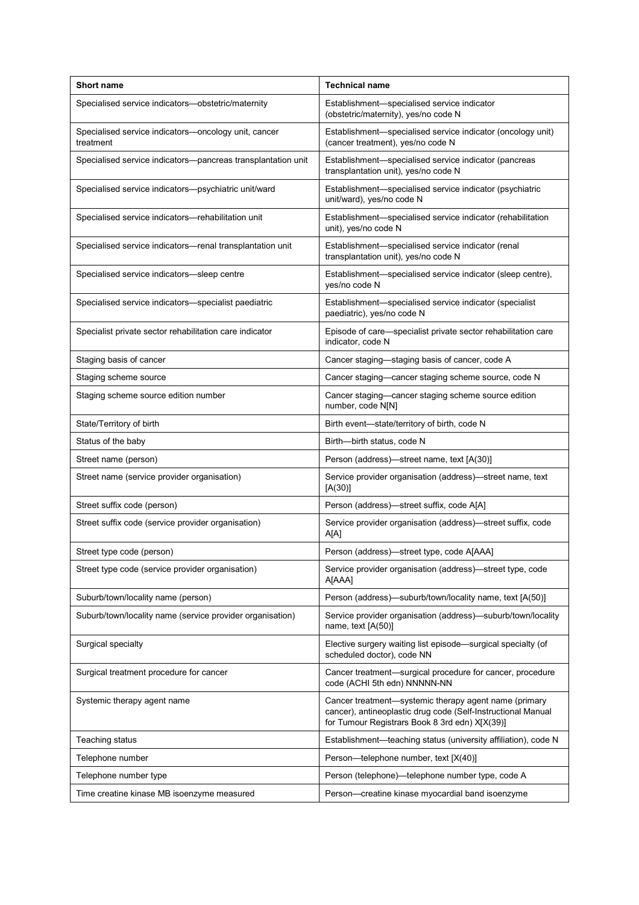| <b>Short name</b>                                                 | <b>Technical name</b>                                                                                                                                                   |
|-------------------------------------------------------------------|-------------------------------------------------------------------------------------------------------------------------------------------------------------------------|
| Specialised service indicators-obstetric/maternity                | Establishment-specialised service indicator<br>(obstetric/maternity), yes/no code N                                                                                     |
| Specialised service indicators—oncology unit, cancer<br>treatment | Establishment-specialised service indicator (oncology unit)<br>(cancer treatment), yes/no code N                                                                        |
| Specialised service indicators-pancreas transplantation unit      | Establishment-specialised service indicator (pancreas<br>transplantation unit), yes/no code N                                                                           |
| Specialised service indicators-psychiatric unit/ward              | Establishment-specialised service indicator (psychiatric<br>unit/ward), yes/no code N                                                                                   |
| Specialised service indicators-rehabilitation unit                | Establishment-specialised service indicator (rehabilitation<br>unit), yes/no code N                                                                                     |
| Specialised service indicators-renal transplantation unit         | Establishment-specialised service indicator (renal<br>transplantation unit), yes/no code N                                                                              |
| Specialised service indicators-sleep centre                       | Establishment—specialised service indicator (sleep centre),<br>yes/no code N                                                                                            |
| Specialised service indicators—specialist paediatric              | Establishment-specialised service indicator (specialist<br>paediatric), yes/no code N                                                                                   |
| Specialist private sector rehabilitation care indicator           | Episode of care—specialist private sector rehabilitation care<br>indicator, code N                                                                                      |
| Staging basis of cancer                                           | Cancer staging-staging basis of cancer, code A                                                                                                                          |
| Staging scheme source                                             | Cancer staging—cancer staging scheme source, code N                                                                                                                     |
| Staging scheme source edition number                              | Cancer staging—cancer staging scheme source edition<br>number, code N[N]                                                                                                |
| State/Territory of birth                                          | Birth event-state/territory of birth, code N                                                                                                                            |
| Status of the baby                                                | Birth-birth status, code N                                                                                                                                              |
| Street name (person)                                              | Person (address)—street name, text [A(30)]                                                                                                                              |
| Street name (service provider organisation)                       | Service provider organisation (address)—street name, text<br>[A(30)]                                                                                                    |
| Street suffix code (person)                                       | Person (address)-street suffix, code A[A]                                                                                                                               |
| Street suffix code (service provider organisation)                | Service provider organisation (address)-street suffix, code<br>A[A]                                                                                                     |
| Street type code (person)                                         | Person (address)—street type, code A[AAA]                                                                                                                               |
| Street type code (service provider organisation)                  | Service provider organisation (address)—street type, code<br>A[AAA]                                                                                                     |
| Suburb/town/locality name (person)                                | Person (address)—suburb/town/locality name, text [A(50)]                                                                                                                |
| Suburb/town/locality name (service provider organisation)         | Service provider organisation (address)-suburb/town/locality<br>name, text $[A(50)]$                                                                                    |
| Surgical specialty                                                | Elective surgery waiting list episode—surgical specialty (of<br>scheduled doctor), code NN                                                                              |
| Surgical treatment procedure for cancer                           | Cancer treatment-surgical procedure for cancer, procedure<br>code (ACHI 5th edn) NNNNN-NN                                                                               |
| Systemic therapy agent name                                       | Cancer treatment-systemic therapy agent name (primary<br>cancer), antineoplastic drug code (Self-Instructional Manual<br>for Tumour Registrars Book 8 3rd edn) X[X(39)] |
| Teaching status                                                   | Establishment-teaching status (university affiliation), code N                                                                                                          |
| Telephone number                                                  | Person-telephone number, text [X(40)]                                                                                                                                   |
| Telephone number type                                             | Person (telephone)—telephone number type, code A                                                                                                                        |
| Time creatine kinase MB isoenzyme measured                        | Person-creatine kinase myocardial band isoenzyme                                                                                                                        |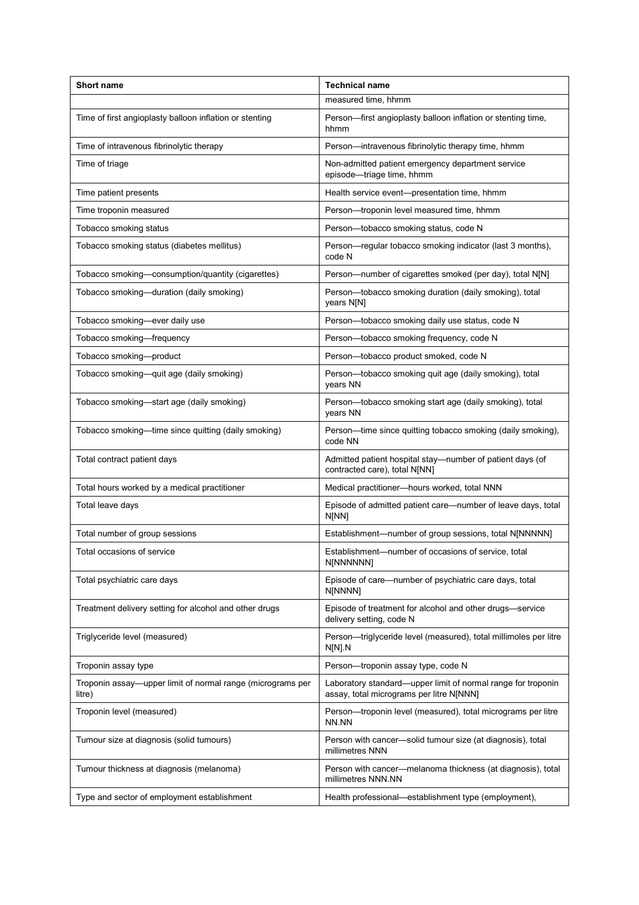| Short name                                                           | <b>Technical name</b>                                                                                    |
|----------------------------------------------------------------------|----------------------------------------------------------------------------------------------------------|
|                                                                      | measured time, hhmm                                                                                      |
| Time of first angioplasty balloon inflation or stenting              | Person-first angioplasty balloon inflation or stenting time,<br>hhmm                                     |
| Time of intravenous fibrinolytic therapy                             | Person-intravenous fibrinolytic therapy time, hhmm                                                       |
| Time of triage                                                       | Non-admitted patient emergency department service<br>episode-triage time, hhmm                           |
| Time patient presents                                                | Health service event-presentation time, hhmm                                                             |
| Time troponin measured                                               | Person-troponin level measured time, hhmm                                                                |
| Tobacco smoking status                                               | Person-tobacco smoking status, code N                                                                    |
| Tobacco smoking status (diabetes mellitus)                           | Person-regular tobacco smoking indicator (last 3 months),<br>code N                                      |
| Tobacco smoking-consumption/quantity (cigarettes)                    | Person-number of cigarettes smoked (per day), total N[N]                                                 |
| Tobacco smoking-duration (daily smoking)                             | Person-tobacco smoking duration (daily smoking), total<br>years N[N]                                     |
| Tobacco smoking-ever daily use                                       | Person-tobacco smoking daily use status, code N                                                          |
| Tobacco smoking-frequency                                            | Person-tobacco smoking frequency, code N                                                                 |
| Tobacco smoking-product                                              | Person-tobacco product smoked, code N                                                                    |
| Tobacco smoking—quit age (daily smoking)                             | Person-tobacco smoking quit age (daily smoking), total<br>years NN                                       |
| Tobacco smoking-start age (daily smoking)                            | Person-tobacco smoking start age (daily smoking), total<br>years NN                                      |
| Tobacco smoking-time since quitting (daily smoking)                  | Person-time since quitting tobacco smoking (daily smoking),<br>code NN                                   |
| Total contract patient days                                          | Admitted patient hospital stay-number of patient days (of<br>contracted care), total N[NN]               |
| Total hours worked by a medical practitioner                         | Medical practitioner-hours worked, total NNN                                                             |
| Total leave days                                                     | Episode of admitted patient care-number of leave days, total<br>N[NN]                                    |
| Total number of group sessions                                       | Establishment-number of group sessions, total N[NNNNN]                                                   |
| Total occasions of service                                           | Establishment—number of occasions of service, total<br>N[NNNNNN]                                         |
| Total psychiatric care days                                          | Episode of care—number of psychiatric care days, total<br>N[NNNN]                                        |
| Treatment delivery setting for alcohol and other drugs               | Episode of treatment for alcohol and other drugs-service<br>delivery setting, code N                     |
| Triglyceride level (measured)                                        | Person-triglyceride level (measured), total millimoles per litre<br>N[N] N                               |
| Troponin assay type                                                  | Person-troponin assay type, code N                                                                       |
| Troponin assay—upper limit of normal range (micrograms per<br>litre) | Laboratory standard—upper limit of normal range for troponin<br>assay, total micrograms per litre N[NNN] |
| Troponin level (measured)                                            | Person-troponin level (measured), total micrograms per litre<br>NN.NN                                    |
| Tumour size at diagnosis (solid tumours)                             | Person with cancer—solid tumour size (at diagnosis), total<br>millimetres NNN                            |
| Tumour thickness at diagnosis (melanoma)                             | Person with cancer—melanoma thickness (at diagnosis), total<br>millimetres NNN.NN                        |
| Type and sector of employment establishment                          | Health professional—establishment type (employment),                                                     |